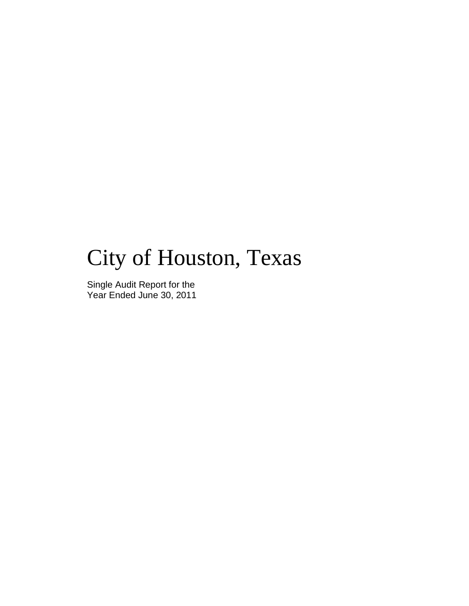# City of Houston, Texas

Single Audit Report for the Year Ended June 30, 2011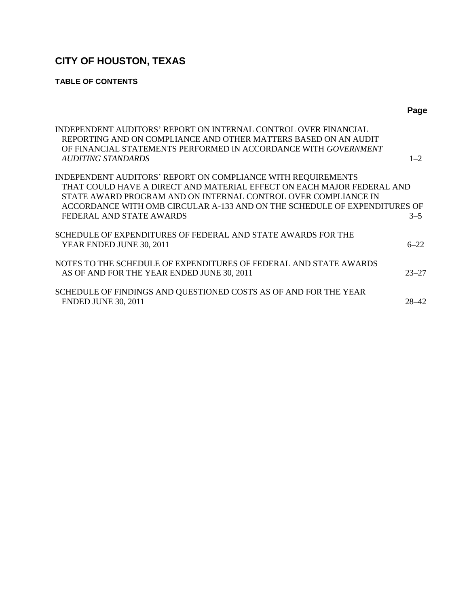### **TABLE OF CONTENTS**

|                                                                                                                                                                                                                                                                                                                   | Page      |
|-------------------------------------------------------------------------------------------------------------------------------------------------------------------------------------------------------------------------------------------------------------------------------------------------------------------|-----------|
| INDEPENDENT AUDITORS' REPORT ON INTERNAL CONTROL OVER FINANCIAL<br>REPORTING AND ON COMPLIANCE AND OTHER MATTERS BASED ON AN AUDIT<br>OF FINANCIAL STATEMENTS PERFORMED IN ACCORDANCE WITH GOVERNMENT<br><b>AUDITING STANDARDS</b>                                                                                | $1 - 2$   |
| INDEPENDENT AUDITORS' REPORT ON COMPLIANCE WITH REQUIREMENTS<br>THAT COULD HAVE A DIRECT AND MATERIAL EFFECT ON EACH MAJOR FEDERAL AND<br>STATE AWARD PROGRAM AND ON INTERNAL CONTROL OVER COMPLIANCE IN<br>ACCORDANCE WITH OMB CIRCULAR A-133 AND ON THE SCHEDULE OF EXPENDITURES OF<br>FEDERAL AND STATE AWARDS | $3 - 5$   |
| SCHEDULE OF EXPENDITURES OF FEDERAL AND STATE AWARDS FOR THE<br>YEAR ENDED JUNE 30, 2011                                                                                                                                                                                                                          | $6 - 22$  |
| NOTES TO THE SCHEDULE OF EXPENDITURES OF FEDERAL AND STATE AWARDS<br>AS OF AND FOR THE YEAR ENDED JUNE 30, 2011                                                                                                                                                                                                   | $23 - 27$ |
| SCHEDULE OF FINDINGS AND QUESTIONED COSTS AS OF AND FOR THE YEAR<br><b>ENDED JUNE 30, 2011</b>                                                                                                                                                                                                                    | $28 - 42$ |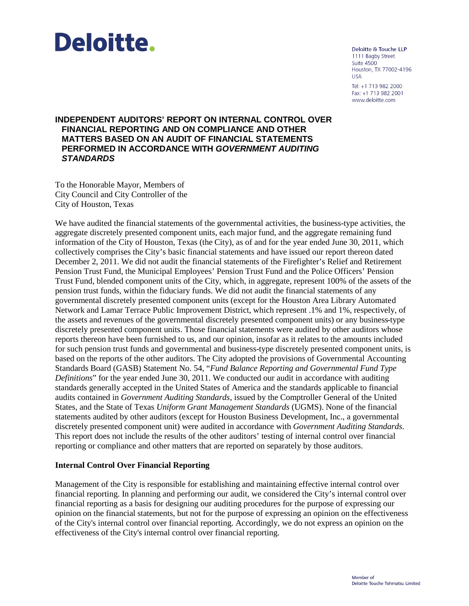

Deloitte & Touche LLP 1111 Bagby Street **Suite 4500** Houston, TX 77002-4196 **USA** Tel: +1 713 982 2000 Fax: +1 713 982 2001 www.deloitte.com

#### **INDEPENDENT AUDITORS' REPORT ON INTERNAL CONTROL OVER FINANCIAL REPORTING AND ON COMPLIANCE AND OTHER MATTERS BASED ON AN AUDIT OF FINANCIAL STATEMENTS PERFORMED IN ACCORDANCE WITH** *GOVERNMENT AUDITING STANDARDS*

To the Honorable Mayor, Members of City Council and City Controller of the City of Houston, Texas

We have audited the financial statements of the governmental activities, the business-type activities, the aggregate discretely presented component units, each major fund, and the aggregate remaining fund information of the City of Houston, Texas (the City), as of and for the year ended June 30, 2011, which collectively comprises the City's basic financial statements and have issued our report thereon dated December 2, 2011. We did not audit the financial statements of the Firefighter's Relief and Retirement Pension Trust Fund, the Municipal Employees' Pension Trust Fund and the Police Officers' Pension Trust Fund, blended component units of the City, which, in aggregate, represent 100% of the assets of the pension trust funds, within the fiduciary funds. We did not audit the financial statements of any governmental discretely presented component units (except for the Houston Area Library Automated Network and Lamar Terrace Public Improvement District, which represent .1% and 1%, respectively, of the assets and revenues of the governmental discretely presented component units) or any business-type discretely presented component units. Those financial statements were audited by other auditors whose reports thereon have been furnished to us, and our opinion, insofar as it relates to the amounts included for such pension trust funds and governmental and business-type discretely presented component units, is based on the reports of the other auditors. The City adopted the provisions of Governmental Accounting Standards Board (GASB) Statement No. 54, "*Fund Balance Reporting and Governmental Fund Type Definitions*" for the year ended June 30, 2011. We conducted our audit in accordance with auditing standards generally accepted in the United States of America and the standards applicable to financial audits contained in *Government Auditing Standards*, issued by the Comptroller General of the United States, and the State of Texas *Uniform Grant Management Standards* (UGMS). None of the financial statements audited by other auditors (except for Houston Business Development, Inc., a governmental discretely presented component unit) were audited in accordance with *Government Auditing Standards*. This report does not include the results of the other auditors' testing of internal control over financial reporting or compliance and other matters that are reported on separately by those auditors.

#### **Internal Control Over Financial Reporting**

Management of the City is responsible for establishing and maintaining effective internal control over financial reporting. In planning and performing our audit, we considered the City's internal control over financial reporting as a basis for designing our auditing procedures for the purpose of expressing our opinion on the financial statements, but not for the purpose of expressing an opinion on the effectiveness of the City's internal control over financial reporting. Accordingly, we do not express an opinion on the effectiveness of the City's internal control over financial reporting.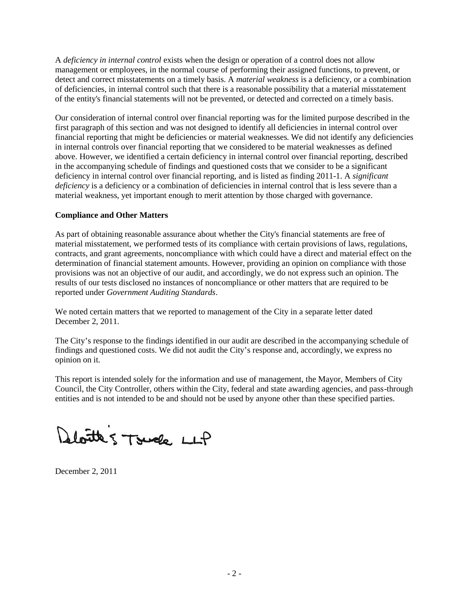A *deficiency in internal control* exists when the design or operation of a control does not allow management or employees, in the normal course of performing their assigned functions, to prevent, or detect and correct misstatements on a timely basis. A *material weakness* is a deficiency, or a combination of deficiencies, in internal control such that there is a reasonable possibility that a material misstatement of the entity's financial statements will not be prevented, or detected and corrected on a timely basis.

Our consideration of internal control over financial reporting was for the limited purpose described in the first paragraph of this section and was not designed to identify all deficiencies in internal control over financial reporting that might be deficiencies or material weaknesses. We did not identify any deficiencies in internal controls over financial reporting that we considered to be material weaknesses as defined above. However, we identified a certain deficiency in internal control over financial reporting, described in the accompanying schedule of findings and questioned costs that we consider to be a significant deficiency in internal control over financial reporting, and is listed as finding 2011-1. A *significant deficiency* is a deficiency or a combination of deficiencies in internal control that is less severe than a material weakness, yet important enough to merit attention by those charged with governance.

### **Compliance and Other Matters**

As part of obtaining reasonable assurance about whether the City's financial statements are free of material misstatement, we performed tests of its compliance with certain provisions of laws, regulations, contracts, and grant agreements, noncompliance with which could have a direct and material effect on the determination of financial statement amounts. However, providing an opinion on compliance with those provisions was not an objective of our audit, and accordingly, we do not express such an opinion. The results of our tests disclosed no instances of noncompliance or other matters that are required to be reported under *Government Auditing Standards*.

We noted certain matters that we reported to management of the City in a separate letter dated December 2, 2011.

The City's response to the findings identified in our audit are described in the accompanying schedule of findings and questioned costs. We did not audit the City's response and, accordingly, we express no opinion on it.

This report is intended solely for the information and use of management, the Mayor, Members of City Council, the City Controller, others within the City, federal and state awarding agencies, and pass-through entities and is not intended to be and should not be used by anyone other than these specified parties.

Deloitte 5 Touche LLP

December 2, 2011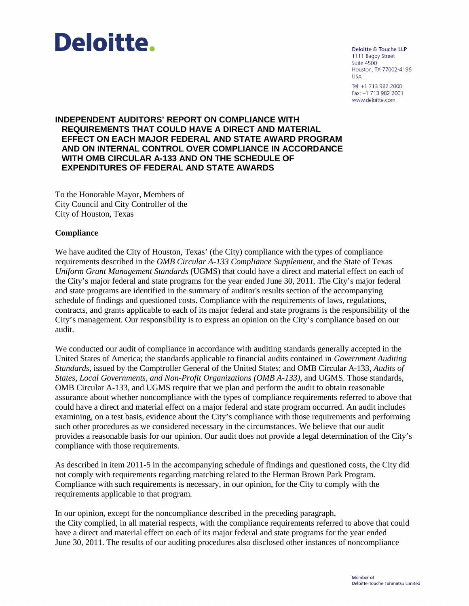

Deloitte & Touche LLP 1111 Bagby Street **Suite 4500** Houston, TX 77002-4196 **USA** Tel: +1 713 982 2000 Fax: +1 713 982 2001 www.deloitte.com

#### **INDEPENDENT AUDITORS' REPORT ON COMPLIANCE WITH REQUIREMENTS THAT COULD HAVE A DIRECT AND MATERIAL EFFECT ON EACH MAJOR FEDERAL AND STATE AWARD PROGRAM AND ON INTERNAL CONTROL OVER COMPLIANCE IN ACCORDANCE WITH OMB CIRCULAR A-133 AND ON THE SCHEDULE OF EXPENDITURES OF FEDERAL AND STATE AWARDS**

To the Honorable Mayor, Members of City Council and City Controller of the City of Houston, Texas

#### **Compliance**

We have audited the City of Houston, Texas' (the City) compliance with the types of compliance requirements described in the *OMB Circular A-133 Compliance Supplement*, and the State of Texas *Uniform Grant Management Standards* (UGMS) that could have a direct and material effect on each of the City's major federal and state programs for the year ended June 30, 2011. The City's major federal and state programs are identified in the summary of auditor's results section of the accompanying schedule of findings and questioned costs. Compliance with the requirements of laws, regulations, contracts, and grants applicable to each of its major federal and state programs is the responsibility of the City's management. Our responsibility is to express an opinion on the City's compliance based on our audit.

We conducted our audit of compliance in accordance with auditing standards generally accepted in the United States of America; the standards applicable to financial audits contained in *Government Auditing Standards*, issued by the Comptroller General of the United States; and OMB Circular A-133, *Audits of States, Local Governments, and Non-Profit Organizations (OMB A-133)*, and UGMS. Those standards, OMB Circular A-133, and UGMS require that we plan and perform the audit to obtain reasonable assurance about whether noncompliance with the types of compliance requirements referred to above that could have a direct and material effect on a major federal and state program occurred. An audit includes examining, on a test basis, evidence about the City's compliance with those requirements and performing such other procedures as we considered necessary in the circumstances. We believe that our audit provides a reasonable basis for our opinion. Our audit does not provide a legal determination of the City's compliance with those requirements.

As described in item 2011-5 in the accompanying schedule of findings and questioned costs, the City did not comply with requirements regarding matching related to the Herman Brown Park Program. Compliance with such requirements is necessary, in our opinion, for the City to comply with the requirements applicable to that program.

In our opinion, except for the noncompliance described in the preceding paragraph, the City complied, in all material respects, with the compliance requirements referred to above that could have a direct and material effect on each of its major federal and state programs for the year ended June 30, 2011. The results of our auditing procedures also disclosed other instances of noncompliance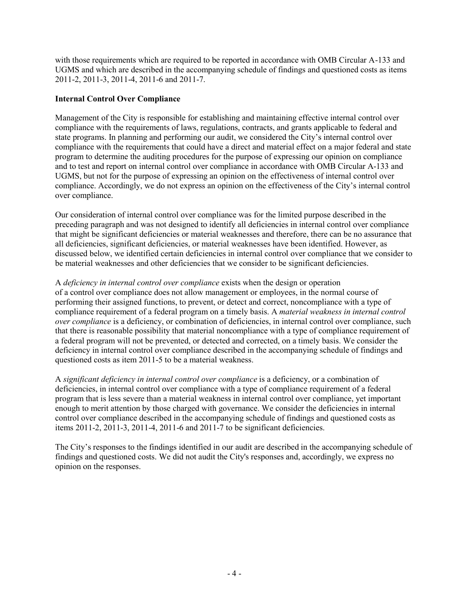with those requirements which are required to be reported in accordance with OMB Circular A-133 and UGMS and which are described in the accompanying schedule of findings and questioned costs as items 2011-2, 2011-3, 2011-4, 2011-6 and 2011-7.

### **Internal Control Over Compliance**

Management of the City is responsible for establishing and maintaining effective internal control over compliance with the requirements of laws, regulations, contracts, and grants applicable to federal and state programs. In planning and performing our audit, we considered the City's internal control over compliance with the requirements that could have a direct and material effect on a major federal and state program to determine the auditing procedures for the purpose of expressing our opinion on compliance and to test and report on internal control over compliance in accordance with OMB Circular A-133 and UGMS, but not for the purpose of expressing an opinion on the effectiveness of internal control over compliance. Accordingly, we do not express an opinion on the effectiveness of the City's internal control over compliance.

Our consideration of internal control over compliance was for the limited purpose described in the preceding paragraph and was not designed to identify all deficiencies in internal control over compliance that might be significant deficiencies or material weaknesses and therefore, there can be no assurance that all deficiencies, significant deficiencies, or material weaknesses have been identified. However, as discussed below, we identified certain deficiencies in internal control over compliance that we consider to be material weaknesses and other deficiencies that we consider to be significant deficiencies.

A *deficiency in internal control over compliance* exists when the design or operation of a control over compliance does not allow management or employees, in the normal course of performing their assigned functions, to prevent, or detect and correct, noncompliance with a type of compliance requirement of a federal program on a timely basis. A *material weakness in internal control over compliance* is a deficiency, or combination of deficiencies, in internal control over compliance, such that there is reasonable possibility that material noncompliance with a type of compliance requirement of a federal program will not be prevented, or detected and corrected, on a timely basis. We consider the deficiency in internal control over compliance described in the accompanying schedule of findings and questioned costs as item 2011-5 to be a material weakness.

A *significant deficiency in internal control over compliance* is a deficiency, or a combination of deficiencies, in internal control over compliance with a type of compliance requirement of a federal program that is less severe than a material weakness in internal control over compliance, yet important enough to merit attention by those charged with governance. We consider the deficiencies in internal control over compliance described in the accompanying schedule of findings and questioned costs as items 2011-2, 2011-3, 2011-4, 2011-6 and 2011-7 to be significant deficiencies.

The City's responses to the findings identified in our audit are described in the accompanying schedule of findings and questioned costs. We did not audit the City's responses and, accordingly, we express no opinion on the responses.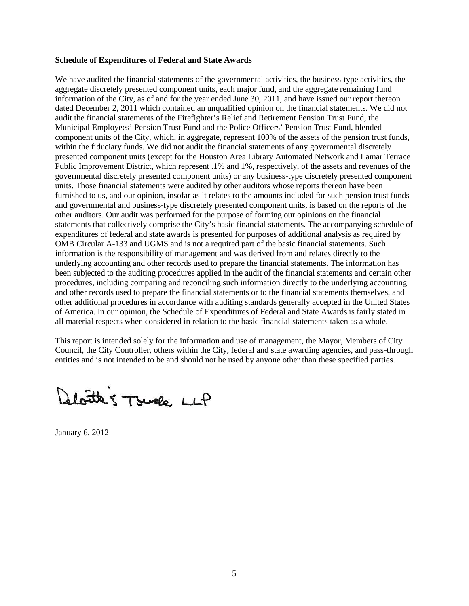#### **Schedule of Expenditures of Federal and State Awards**

We have audited the financial statements of the governmental activities, the business-type activities, the aggregate discretely presented component units, each major fund, and the aggregate remaining fund information of the City, as of and for the year ended June 30, 2011, and have issued our report thereon dated December 2, 2011 which contained an unqualified opinion on the financial statements. We did not audit the financial statements of the Firefighter's Relief and Retirement Pension Trust Fund, the Municipal Employees' Pension Trust Fund and the Police Officers' Pension Trust Fund, blended component units of the City, which, in aggregate, represent 100% of the assets of the pension trust funds, within the fiduciary funds. We did not audit the financial statements of any governmental discretely presented component units (except for the Houston Area Library Automated Network and Lamar Terrace Public Improvement District, which represent .1% and 1%, respectively, of the assets and revenues of the governmental discretely presented component units) or any business-type discretely presented component units. Those financial statements were audited by other auditors whose reports thereon have been furnished to us, and our opinion, insofar as it relates to the amounts included for such pension trust funds and governmental and business-type discretely presented component units, is based on the reports of the other auditors. Our audit was performed for the purpose of forming our opinions on the financial statements that collectively comprise the City's basic financial statements. The accompanying schedule of expenditures of federal and state awards is presented for purposes of additional analysis as required by OMB Circular A-133 and UGMS and is not a required part of the basic financial statements. Such information is the responsibility of management and was derived from and relates directly to the underlying accounting and other records used to prepare the financial statements. The information has been subjected to the auditing procedures applied in the audit of the financial statements and certain other procedures, including comparing and reconciling such information directly to the underlying accounting and other records used to prepare the financial statements or to the financial statements themselves, and other additional procedures in accordance with auditing standards generally accepted in the United States of America. In our opinion, the Schedule of Expenditures of Federal and State Awards is fairly stated in all material respects when considered in relation to the basic financial statements taken as a whole.

This report is intended solely for the information and use of management, the Mayor, Members of City Council, the City Controller, others within the City, federal and state awarding agencies, and pass-through entities and is not intended to be and should not be used by anyone other than these specified parties.

Bloitte 5 Touche LLP

January 6, 2012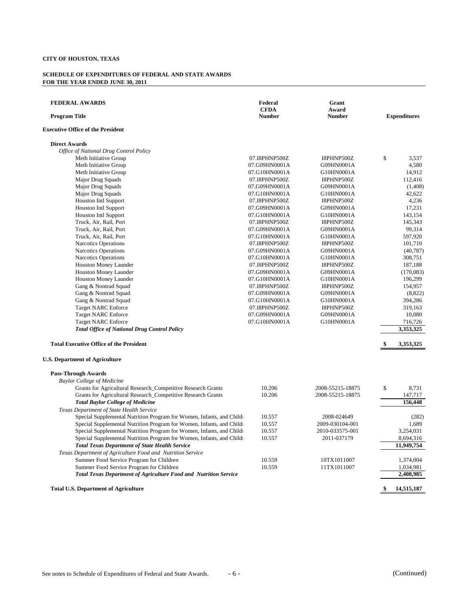| <b>FEDERAL AWARDS</b><br><b>Program Title</b>                           | Federal<br><b>CFDA</b><br><b>Number</b> | Grant<br>Award<br><b>Number</b> | <b>Expenditures</b> |
|-------------------------------------------------------------------------|-----------------------------------------|---------------------------------|---------------------|
| <b>Executive Office of the President</b>                                |                                         |                                 |                     |
| <b>Direct Awards</b>                                                    |                                         |                                 |                     |
| Office of National Drug Control Policy                                  |                                         |                                 |                     |
| Meth Initiative Group                                                   | 07.I8PHNP500Z                           | I8PHNP500Z                      | \$<br>3,537         |
| Meth Initiative Group                                                   | 07.G09HN0001A                           | G09HN0001A                      | 4,580               |
| Meth Initiative Group                                                   | 07.G10HN0001A                           | G10HN0001A                      | 14,912              |
| Major Drug Squads                                                       | 07.I8PHNP500Z                           | I8PHNP500Z                      | 112,416             |
| Major Drug Squads                                                       | 07.G09HN0001A                           | G09HN0001A                      | (1,408)             |
| Major Drug Squads                                                       | 07.G10HN0001A                           | G10HN0001A                      | 42,622              |
| <b>Houston Intl Support</b>                                             | 07.I8PHNP500Z                           | I8PHNP500Z                      | 4,236               |
| <b>Houston Intl Support</b>                                             | 07.G09HN0001A                           | G09HN0001A                      | 17.231              |
| <b>Houston Intl Support</b>                                             | 07.G10HN0001A                           | G10HN0001A                      | 143,154             |
| Truck, Air, Rail, Port                                                  | 07.I8PHNP500Z                           | I8PHNP500Z                      | 145,343             |
| Truck, Air, Rail, Port                                                  | 07.G09HN0001A                           | G09HN0001A                      | 99,314              |
| Truck, Air, Rail, Port                                                  | 07.G10HN0001A                           | G10HN0001A                      | 597,920             |
| <b>Narcotics Operations</b>                                             | 07.I8PHNP500Z                           | I8PHNP500Z                      | 101,710             |
| Narcotics Operations                                                    | 07.G09HN0001A                           | G09HN0001A                      | (40, 787)           |
| Narcotics Operations                                                    | 07.G10HN0001A                           | G10HN0001A                      | 308,751             |
| Houston Money Launder                                                   | 07.I8PHNP500Z                           | I8PHNP500Z                      | 187,188             |
| <b>Houston Money Launder</b>                                            | 07.G09HN0001A                           | G09HN0001A                      | (170,083)           |
| Houston Money Launder                                                   | 07.G10HN0001A                           | G10HN0001A                      | 196,299             |
| Gang & Nontrad Squad                                                    | 07.I8PHNP500Z                           | I8PHNP500Z                      | 154,957             |
| Gang & Nontrad Squad                                                    | 07.G09HN0001A                           | G09HN0001A                      | (8,822)             |
| Gang & Nontrad Squad                                                    | 07.G10HN0001A                           | G10HN0001A                      | 394,286             |
| <b>Target NARC Enforce</b>                                              | 07.I8PHNP500Z                           | I8PHNP500Z                      | 319,163             |
| <b>Target NARC Enforce</b>                                              | 07.G09HN0001A                           | G09HN0001A                      | 10,080              |
| <b>Target NARC Enforce</b>                                              | 07.G10HN0001A                           | G10HN0001A                      | 716,726             |
| <b>Total Office of National Drug Control Policy</b>                     |                                         |                                 | 3,353,325           |
| <b>Total Executive Office of the President</b>                          |                                         |                                 | \$<br>3,353,325     |
| <b>U.S. Department of Agriculture</b>                                   |                                         |                                 |                     |
| <b>Pass-Through Awards</b>                                              |                                         |                                 |                     |
| <b>Baylor College of Medicine</b>                                       |                                         |                                 |                     |
| Grants for Agricultural Research_Competitive Research Grants            | 10.206                                  | 2008-55215-18875                | \$<br>8,731         |
| Grants for Agricultural Research_Competitive Research Grants            | 10.206                                  | 2008-55215-18875                | 147,717             |
| <b>Total Baylor College of Medicine</b>                                 |                                         |                                 | 156,448             |
| Texas Department of State Health Service                                |                                         |                                 |                     |
| Special Supplemental Nutrition Program for Women, Infants, and Childi   | 10.557                                  | 2008-024649                     | (282)               |
| Special Supplemental Nutrition Program for Women, Infants, and Childi   | 10.557                                  | 2009-030104-001                 | 1,689               |
| Special Supplemental Nutrition Program for Women, Infants, and Childi   | 10.557                                  | 2010-033575-001                 | 3,254,031           |
| Special Supplemental Nutrition Program for Women, Infants, and Childi   | 10.557                                  | 2011-037179                     | 8,694,316           |
| <b>Total Texas Department of State Health Service</b>                   |                                         |                                 | 11,949,754          |
| Texas Department of Agriculture Food and Nutrition Service              |                                         |                                 |                     |
| Summer Food Service Program for Children                                | 10.559                                  | 10TX1011007                     | 1,374,004           |
| Summer Food Service Program for Children                                | 10.559                                  | 11TX1011007                     | 1,034,981           |
| <b>Total Texas Department of Agriculture Food and Nutrition Service</b> |                                         |                                 | 2,408,985           |
| <b>Total U.S. Department of Agriculture</b>                             |                                         |                                 | \$<br>14,515,187    |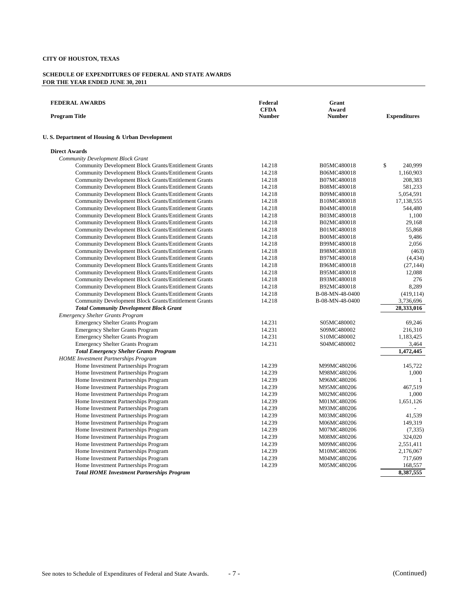| <b>FEDERAL AWARDS</b><br><b>Program Title</b>                | Federal<br><b>CFDA</b><br><b>Number</b> | Grant<br>Award<br><b>Number</b> | <b>Expenditures</b> |
|--------------------------------------------------------------|-----------------------------------------|---------------------------------|---------------------|
| U.S. Department of Housing & Urban Development               |                                         |                                 |                     |
| <b>Direct Awards</b>                                         |                                         |                                 |                     |
| Community Development Block Grant                            |                                         |                                 |                     |
| Community Development Block Grants/Entitlement Grants        | 14.218                                  | B05MC480018                     | \$<br>240,999       |
| Community Development Block Grants/Entitlement Grants        | 14.218                                  | B06MC480018                     | 1,160,903           |
| <b>Community Development Block Grants/Entitlement Grants</b> | 14.218                                  | B07MC480018                     | 208,383             |
| <b>Community Development Block Grants/Entitlement Grants</b> | 14.218                                  | B08MC480018                     | 581,233             |
| <b>Community Development Block Grants/Entitlement Grants</b> | 14.218                                  | B09MC480018                     | 5,054,591           |
| Community Development Block Grants/Entitlement Grants        | 14.218                                  | B10MC480018                     | 17,138,555          |
| Community Development Block Grants/Entitlement Grants        | 14.218                                  | B04MC480018                     | 544,480             |
| <b>Community Development Block Grants/Entitlement Grants</b> | 14.218                                  | B03MC480018                     | 1,100               |
| <b>Community Development Block Grants/Entitlement Grants</b> | 14.218                                  | B02MC480018                     | 29,168              |
| <b>Community Development Block Grants/Entitlement Grants</b> | 14.218                                  | B01MC480018                     | 55,868              |
| Community Development Block Grants/Entitlement Grants        | 14.218                                  | B00MC480018                     | 9,486               |
| Community Development Block Grants/Entitlement Grants        | 14.218                                  | B99MC480018                     | 2,056               |
| <b>Community Development Block Grants/Entitlement Grants</b> | 14.218                                  | B98MC480018                     | (463)               |
| <b>Community Development Block Grants/Entitlement Grants</b> | 14.218                                  | B97MC480018                     | (4, 434)            |
| <b>Community Development Block Grants/Entitlement Grants</b> | 14.218                                  | B96MC480018                     | (27, 144)           |
| Community Development Block Grants/Entitlement Grants        | 14.218                                  | B95MC480018                     | 12,088              |
| <b>Community Development Block Grants/Entitlement Grants</b> | 14.218                                  | B93MC480018                     | 276                 |
| <b>Community Development Block Grants/Entitlement Grants</b> | 14.218                                  | B92MC480018                     | 8,289               |
| <b>Community Development Block Grants/Entitlement Grants</b> | 14.218                                  | B-08-MN-48-0400                 | (419, 114)          |
| <b>Community Development Block Grants/Entitlement Grants</b> | 14.218                                  | B-08-MN-48-0400                 | 3,736,696           |
| <b>Total Community Development Block Grant</b>               |                                         |                                 | 28,333,016          |
| <b>Emergency Shelter Grants Program</b>                      |                                         |                                 |                     |
| <b>Emergency Shelter Grants Program</b>                      | 14.231                                  | S05MC480002                     | 69,246              |
| <b>Emergency Shelter Grants Program</b>                      | 14.231                                  | S09MC480002                     | 216,310             |
| <b>Emergency Shelter Grants Program</b>                      | 14.231                                  | S10MC480002                     | 1,183,425           |
| <b>Emergency Shelter Grants Program</b>                      | 14.231                                  | S04MC480002                     | 3,464               |
| <b>Total Emergency Shelter Grants Program</b>                |                                         |                                 | 1,472,445           |
| <b>HOME</b> Investment Partnerships Program                  |                                         |                                 |                     |
| Home Investment Partnerships Program                         | 14.239                                  | M99MC480206                     | 145,722             |
| Home Investment Partnerships Program                         | 14.239                                  | M98MC480206                     | 1,000               |
| Home Investment Partnerships Program                         | 14.239                                  | M96MC480206                     | $\mathbf{1}$        |
| Home Investment Partnerships Program                         | 14.239                                  | M95MC480206                     | 467,519             |
| Home Investment Partnerships Program                         | 14.239                                  | M02MC480206                     | 1,000               |
| Home Investment Partnerships Program                         | 14.239                                  | M01MC480206                     | 1,651,126           |
| Home Investment Partnerships Program                         | 14.239                                  | M93MC480206                     |                     |
| Home Investment Partnerships Program                         | 14.239                                  | M03MC480206                     | 41,539              |
| Home Investment Partnerships Program                         | 14.239                                  | M06MC480206                     | 149,319             |
| Home Investment Partnerships Program                         | 14.239                                  | M07MC480206                     | (7, 335)            |
| Home Investment Partnerships Program                         | 14.239                                  | M08MC480206                     | 324,020             |
| Home Investment Partnerships Program                         | 14.239                                  | M09MC480206                     | 2,551,411           |
| Home Investment Partnerships Program                         | 14.239                                  | M10MC480206                     | 2,176,067           |
| Home Investment Partnerships Program                         | 14.239                                  | M04MC480206                     | 717,609             |
| Home Investment Partnerships Program                         | 14.239                                  | M05MC480206                     | 168,557             |
| <b>Total HOME Investment Partnerships Program</b>            |                                         |                                 | 8,387,555           |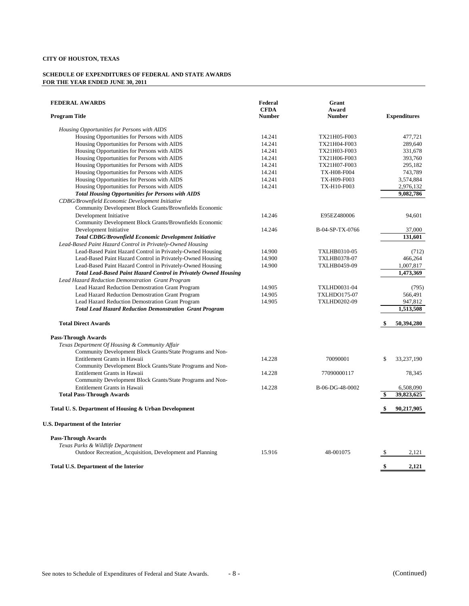| <b>FEDERAL AWARDS</b><br><b>Program Title</b>                    | Federal<br><b>CFDA</b><br><b>Number</b> | Grant<br>Award<br><b>Number</b> | <b>Expenditures</b> |
|------------------------------------------------------------------|-----------------------------------------|---------------------------------|---------------------|
| Housing Opportunities for Persons with AIDS                      |                                         |                                 |                     |
| Housing Opportunities for Persons with AIDS                      | 14.241                                  | TX21H05-F003                    | 477,721             |
| Housing Opportunities for Persons with AIDS                      | 14.241                                  | TX21H04-F003                    | 289,640             |
| Housing Opportunities for Persons with AIDS                      | 14.241                                  | TX21H03-F003                    | 331,678             |
| Housing Opportunities for Persons with AIDS                      | 14.241                                  | TX21H06-F003                    | 393,760             |
| Housing Opportunities for Persons with AIDS                      | 14.241                                  | TX21H07-F003                    | 295,182             |
| Housing Opportunities for Persons with AIDS                      | 14.241                                  | TX-H08-F004                     | 743,789             |
| Housing Opportunities for Persons with AIDS                      | 14.241                                  | TX-H09-F003                     | 3,574,884           |
| Housing Opportunities for Persons with AIDS                      | 14.241                                  | TX-H10-F003                     | 2,976,132           |
| <b>Total Housing Opportunities for Persons with AIDS</b>         |                                         |                                 | 9,082,786           |
| CDBG/Brownfield Economic Development Initiative                  |                                         |                                 |                     |
| Community Development Block Grants/Brownfields Economic          |                                         |                                 |                     |
| Development Initiative                                           | 14.246                                  | E95EZ480006                     | 94,601              |
| Community Development Block Grants/Brownfields Economic          |                                         |                                 |                     |
| Development Initiative                                           | 14.246                                  | B-04-SP-TX-0766                 | 37,000              |
| <b>Total CDBG/Brownfield Economic Development Initiative</b>     |                                         |                                 | 131,601             |
| Lead-Based Paint Hazard Control in Privately-Owned Housing       |                                         |                                 |                     |
| Lead-Based Paint Hazard Control in Privately-Owned Housing       | 14.900                                  | TXLHB0310-05                    | (712)               |
| Lead-Based Paint Hazard Control in Privately-Owned Housing       | 14.900                                  | TXLHB0378-07                    | 466,264             |
| Lead-Based Paint Hazard Control in Privately-Owned Housing       | 14.900                                  | TXLHB0459-09                    | 1,007,817           |
| Total Lead-Based Paint Hazard Control in Privately Owned Housing |                                         |                                 | 1,473,369           |
| Lead Hazard Reduction Demonstration Grant Program                |                                         |                                 |                     |
| Lead Hazard Reduction Demostration Grant Program                 | 14.905                                  | <b>TXLHD0031-04</b>             | (795)               |
| Lead Hazard Reduction Demostration Grant Program                 | 14.905                                  | <b>TXLHDO175-07</b>             | 566,491             |
| Lead Hazard Reduction Demostration Grant Program                 | 14.905                                  | <b>TXLHD0202-09</b>             | 947,812             |
| <b>Total Lead Hazard Reduction Demonstration Grant Program</b>   |                                         |                                 | 1,513,508           |
|                                                                  |                                         |                                 |                     |
| <b>Total Direct Awards</b>                                       |                                         |                                 | \$<br>50,394,280    |
| <b>Pass-Through Awards</b>                                       |                                         |                                 |                     |
| Texas Department Of Housing & Community Affair                   |                                         |                                 |                     |
| Community Development Block Grants/State Programs and Non-       |                                         |                                 |                     |
| Entitlement Grants in Hawaii                                     | 14.228                                  | 70090001                        | \$<br>33,237,190    |
| Community Development Block Grants/State Programs and Non-       |                                         |                                 |                     |
| Entitlement Grants in Hawaii                                     | 14.228                                  | 77090000117                     | 78,345              |
| Community Development Block Grants/State Programs and Non-       |                                         |                                 |                     |
| Entitlement Grants in Hawaii                                     | 14.228                                  | B-06-DG-48-0002                 | 6,508,090           |
| <b>Total Pass-Through Awards</b>                                 |                                         |                                 | \$<br>39,823,625    |
| Total U.S. Department of Housing & Urban Development             |                                         |                                 | \$<br>90,217,905    |
| <b>U.S. Department of the Interior</b>                           |                                         |                                 |                     |
| <b>Pass-Through Awards</b>                                       |                                         |                                 |                     |
| Texas Parks & Wildlife Department                                |                                         |                                 |                     |
| Outdoor Recreation_Acquisition, Development and Planning         | 15.916                                  | 48-001075                       | \$<br>2,121         |
| <b>Total U.S. Department of the Interior</b>                     |                                         |                                 | \$<br>2,121         |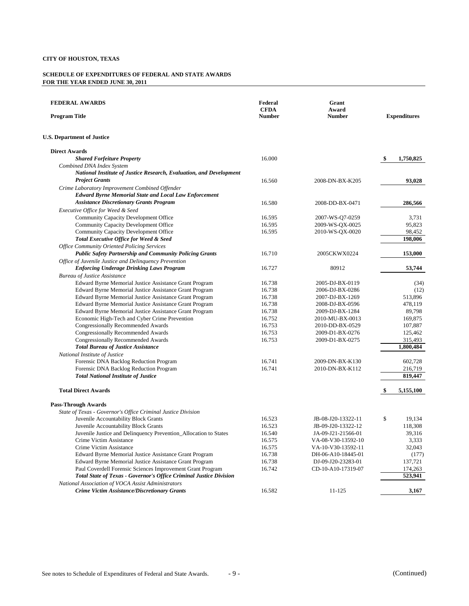| <b>FEDERAL AWARDS</b><br><b>Program Title</b>                                                                  | Federal<br><b>CFDA</b><br><b>Number</b> | Grant<br>Award<br><b>Number</b> | <b>Expenditures</b> |
|----------------------------------------------------------------------------------------------------------------|-----------------------------------------|---------------------------------|---------------------|
| <b>U.S. Department of Justice</b>                                                                              |                                         |                                 |                     |
| <b>Direct Awards</b>                                                                                           |                                         |                                 |                     |
| <b>Shared Forfeiture Property</b>                                                                              | 16.000                                  |                                 | \$<br>1,750,825     |
| Combined DNA Index System<br>National Institute of Justice Research, Evaluation, and Development               |                                         |                                 |                     |
| <b>Project Grants</b>                                                                                          | 16.560                                  | 2008-DN-BX-K205                 | 93,028              |
| Crime Laboratory Improvement Combined Offender<br><b>Edward Byrne Memorial State and Local Law Enforcement</b> |                                         |                                 |                     |
| <b>Assistance Discretionary Grants Program</b>                                                                 | 16.580                                  | 2008-DD-BX-0471                 | 286,566             |
| Executive Office for Weed & Seed                                                                               |                                         |                                 |                     |
| Community Capacity Development Office                                                                          | 16.595                                  | 2007-WS-Q7-0259                 | 3,731               |
| Community Capacity Development Office                                                                          | 16.595                                  | 2009-WS-QX-0025                 | 95,823              |
| Community Capacity Development Office                                                                          | 16.595                                  | 2010-WS-QX-0020                 | 98,452              |
| Total Executive Office for Weed & Seed                                                                         |                                         |                                 | 198,006             |
| <b>Office Community Oriented Policing Services</b>                                                             |                                         |                                 |                     |
| <b>Public Safety Partnership and Community Policing Grants</b>                                                 | 16.710                                  | 2005CKWX0224                    | 153,000             |
| Office of Juvenile Justice and Delinquency Prevention                                                          |                                         |                                 |                     |
| <b>Enforcing Underage Drinking Laws Program</b>                                                                | 16.727                                  | 80912                           | 53,744              |
| <b>Bureau of Justice Assistance</b>                                                                            |                                         |                                 |                     |
| Edward Byrne Memorial Justice Assistance Grant Program                                                         | 16.738                                  | 2005-DJ-BX-0119                 | (34)                |
| Edward Byrne Memorial Justice Assistance Grant Program                                                         | 16.738                                  | 2006-DJ-BX-0286                 | (12)                |
| Edward Byrne Memorial Justice Assistance Grant Program                                                         | 16.738                                  | 2007-DJ-BX-1269                 | 513,896             |
| Edward Byrne Memorial Justice Assistance Grant Program                                                         | 16.738                                  | 2008-DJ-BX-0596                 | 478,119             |
| Edward Byrne Memorial Justice Assistance Grant Program                                                         | 16.738                                  | 2009-DJ-BX-1284                 | 89,798              |
| Economic High-Tech and Cyber Crime Prevention                                                                  | 16.752                                  | 2010-MU-BX-0013                 | 169,875             |
| <b>Congressionally Recommended Awards</b>                                                                      | 16.753                                  | 2010-DD-BX-0529                 | 107,887             |
| Congressionally Recommended Awards                                                                             | 16.753                                  | 2009-D1-BX-0276                 | 125,462             |
| <b>Congressionally Recommended Awards</b>                                                                      | 16.753                                  | 2009-D1-BX-0275                 | 315,493             |
| <b>Total Bureau of Justice Assistance</b>                                                                      |                                         |                                 | 1,800,484           |
| National Institute of Justice                                                                                  |                                         |                                 |                     |
| Forensic DNA Backlog Reduction Program                                                                         | 16.741                                  | 2009-DN-BX-K130                 | 602,728             |
| Forensic DNA Backlog Reduction Program                                                                         | 16.741                                  | 2010-DN-BX-K112                 | 216,719             |
| <b>Total National Institute of Justice</b>                                                                     |                                         |                                 | 819,447             |
| <b>Total Direct Awards</b>                                                                                     |                                         |                                 | \$<br>5,155,100     |
| <b>Pass-Through Awards</b>                                                                                     |                                         |                                 |                     |
| State of Texas - Governor's Office Criminal Justice Division                                                   |                                         |                                 |                     |
| Juvenile Accountability Block Grants                                                                           | 16.523                                  | JB-08-J20-13322-11              | \$<br>19,134        |
| Juvenile Accountability Block Grants                                                                           | 16.523                                  | JB-09-J20-13322-12              | 118,308             |
| Juvenile Justice and Delinquency Prevention_Allocation to States                                               | 16.540                                  | JA-09-J21-21566-01              | 39,316              |
| Crime Victim Assistance                                                                                        | 16.575                                  | VA-08-V30-13592-10              | 3,333               |
| Crime Victim Assistance                                                                                        | 16.575                                  | VA-10-V30-13592-11              | 32,043              |
| Edward Byrne Memorial Justice Assistance Grant Program                                                         | 16.738                                  | DH-06-A10-18445-01              | (177)               |
| Edward Byrne Memorial Justice Assistance Grant Program                                                         | 16.738                                  | DJ-09-J20-23283-01              | 137,721             |
| Paul Coverdell Forensic Sciences Improvement Grant Program                                                     | 16.742                                  | CD-10-A10-17319-07              | 174,263             |
| Total State of Texas - Governor's Office Criminal Justice Division                                             |                                         |                                 | 523,941             |
| National Association of VOCA Assist Administrators                                                             |                                         |                                 |                     |
| <b>Crime Victim Assistance/Discretionary Grants</b>                                                            | 16.582                                  | 11-125                          | 3,167               |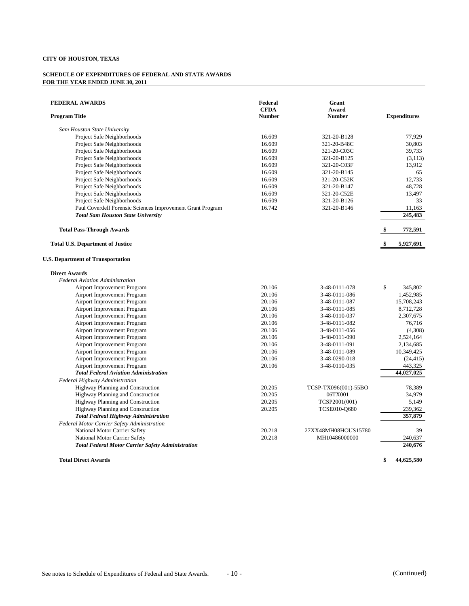| <b>FEDERAL AWARDS</b><br><b>Program Title</b>                                      | Federal<br><b>CFDA</b><br><b>Number</b> | Grant<br>Award<br><b>Number</b> |    | <b>Expenditures</b>   |
|------------------------------------------------------------------------------------|-----------------------------------------|---------------------------------|----|-----------------------|
| Sam Houston State University                                                       |                                         |                                 |    |                       |
| Project Safe Neighborhoods                                                         | 16.609                                  | 321-20-B128                     |    | 77,929                |
| Project Safe Neighborhoods                                                         | 16.609                                  | 321-20-B48C                     |    | 30,803                |
| Project Safe Neighborhoods                                                         | 16.609                                  | 321-20-C03C                     |    | 39,733                |
| Project Safe Neighborhoods                                                         | 16.609                                  | 321-20-B125                     |    | (3,113)               |
| Project Safe Neighborhoods                                                         | 16.609                                  | 321-20-C03F                     |    | 13,912                |
| Project Safe Neighborhoods                                                         | 16.609                                  | 321-20-B145                     |    | 65                    |
| Project Safe Neighborhoods                                                         | 16.609                                  | 321-20-C52K                     |    | 12,733                |
| Project Safe Neighborhoods                                                         | 16.609                                  | 321-20-B147                     |    | 48,728                |
| Project Safe Neighborhoods                                                         | 16.609                                  | 321-20-C52E                     |    | 13,497                |
| Project Safe Neighborhoods                                                         | 16.609                                  | 321-20-B126                     |    | 33                    |
| Paul Coverdell Forensic Sciences Improvement Grant Program                         | 16.742                                  | 321-20-B146                     |    | 11,163                |
| <b>Total Sam Houston State University</b>                                          |                                         |                                 |    | 245,483               |
| <b>Total Pass-Through Awards</b>                                                   |                                         |                                 | S  | 772,591               |
| <b>Total U.S. Department of Justice</b>                                            |                                         |                                 | \$ | 5,927,691             |
| <b>U.S. Department of Transportation</b>                                           |                                         |                                 |    |                       |
| <b>Direct Awards</b>                                                               |                                         |                                 |    |                       |
| <b>Federal Aviation Administration</b>                                             |                                         |                                 |    |                       |
| Airport Improvement Program                                                        | 20.106                                  | 3-48-0111-078                   | \$ | 345,802               |
| <b>Airport Improvement Program</b>                                                 | 20.106                                  | 3-48-0111-086                   |    | 1,452,985             |
| Airport Improvement Program                                                        | 20.106                                  | 3-48-0111-087                   |    | 15,708,243            |
| Airport Improvement Program                                                        | 20.106                                  | 3-48-0111-085                   |    | 8,712,728             |
| Airport Improvement Program                                                        | 20.106                                  | 3-48-0110-037                   |    | 2,307,675             |
| Airport Improvement Program                                                        | 20.106                                  | 3-48-0111-082                   |    | 76,716                |
| Airport Improvement Program                                                        | 20.106                                  | 3-48-0111-056                   |    | (4,308)               |
| Airport Improvement Program                                                        | 20.106                                  | 3-48-0111-090                   |    | 2,524,164             |
| Airport Improvement Program                                                        | 20.106                                  | 3-48-0111-091                   |    | 2,134,685             |
| Airport Improvement Program                                                        | 20.106                                  | 3-48-0111-089                   |    | 10,349,425            |
| Airport Improvement Program                                                        | 20.106                                  | 3-48-0290-018                   |    | (24, 415)             |
| <b>Airport Improvement Program</b><br><b>Total Federal Aviation Administration</b> | 20.106                                  | 3-48-0110-035                   |    | 443,325<br>44,027,025 |
| Federal Highway Administration                                                     |                                         |                                 |    |                       |
| Highway Planning and Construction                                                  | 20.205                                  | TCSP-TX096(001)-55BO            |    | 78,389                |
| Highway Planning and Construction                                                  | 20.205                                  | 06TX001                         |    | 34,979                |
| Highway Planning and Construction                                                  | 20.205                                  | TCSP2001(001)                   |    | 5,149                 |
| Highway Planning and Construction                                                  | 20.205                                  | <b>TCSE010-Q680</b>             |    | 239,362               |
| <b>Total Fedreal Highway Administration</b>                                        |                                         |                                 |    | 357,879               |
| Federal Motor Carrier Safety Administration                                        |                                         |                                 |    |                       |
| National Motor Carrier Safety                                                      | 20.218                                  | 27XX48MH08HOUS15780             |    | 39                    |
| National Motor Carrier Safety                                                      | 20.218                                  | MH10486000000                   |    | 240,637               |
| <b>Total Federal Motor Carrier Safety Administration</b>                           |                                         |                                 |    | 240,676               |
| <b>Total Direct Awards</b>                                                         |                                         |                                 | \$ | 44,625,580            |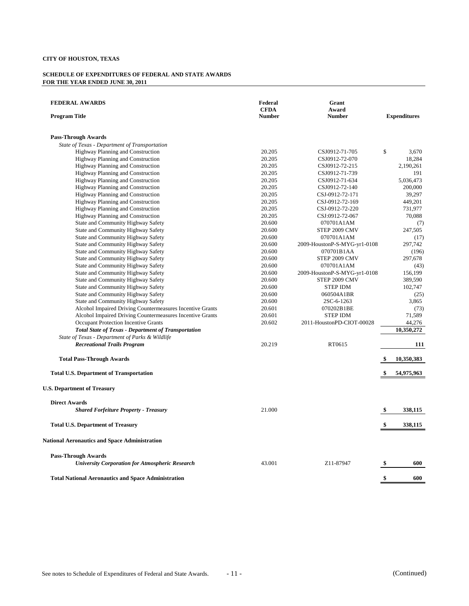| <b>FEDERAL AWARDS</b><br><b>Program Title</b>              | Federal<br><b>CFDA</b><br><b>Number</b> | Grant<br>Award<br><b>Number</b> | <b>Expenditures</b> |            |
|------------------------------------------------------------|-----------------------------------------|---------------------------------|---------------------|------------|
| <b>Pass-Through Awards</b>                                 |                                         |                                 |                     |            |
| State of Texas - Department of Transportation              |                                         |                                 |                     |            |
| Highway Planning and Construction                          | 20.205                                  | CSJ0912-71-705                  | \$                  | 3,670      |
| Highway Planning and Construction                          | 20.205                                  | CSJ0912-72-070                  |                     | 18,284     |
| Highway Planning and Construction                          | 20.205                                  | CSJ0912-72-215                  |                     | 2,190,261  |
| Highway Planning and Construction                          | 20.205                                  | CSJ0912-71-739                  |                     | 191        |
| Highway Planning and Construction                          | 20.205                                  | CSJ0912-71-634                  |                     | 5,036,473  |
| Highway Planning and Construction                          | 20.205                                  | CSJ0912-72-140                  |                     | 200,000    |
| <b>Highway Planning and Construction</b>                   | 20.205                                  | CSJ-0912-72-171                 |                     | 39,297     |
| Highway Planning and Construction                          | 20.205                                  | CSJ-0912-72-169                 |                     | 449,201    |
| Highway Planning and Construction                          | 20.205                                  | CSJ-0912-72-220                 |                     | 731,977    |
| Highway Planning and Construction                          | 20.205                                  | CSJ:0912-72-067                 |                     | 70,088     |
| State and Community Highway Safety                         | 20.600                                  | 070701A1AM                      |                     | (7)        |
| State and Community Highway Safety                         | 20.600                                  | STEP 2009 CMV                   |                     | 247,505    |
| State and Community Highway Safety                         | 20.600                                  | 070701A1AM                      |                     | (17)       |
| State and Community Highway Safety                         | 20.600                                  | 2009-HoustonP-S-MYG-yr1-0108    |                     | 297,742    |
| State and Community Highway Safety                         | 20.600                                  | 070701B1AA                      |                     | (196)      |
| State and Community Highway Safety                         | 20.600                                  | STEP 2009 CMV                   |                     | 297,678    |
| State and Community Highway Safety                         | 20.600                                  | 070701A1AM                      |                     | (43)       |
| State and Community Highway Safety                         | 20.600                                  | 2009-HoustonP-S-MYG-yr1-0108    |                     | 156,199    |
| State and Community Highway Safety                         | 20.600                                  | STEP 2009 CMV                   |                     | 389,590    |
| State and Community Highway Safety                         | 20.600                                  | <b>STEP IDM</b>                 |                     | 102,747    |
| State and Community Highway Safety                         | 20.600                                  | 060504A1BR                      |                     | (25)       |
| State and Community Highway Safety                         | 20.600                                  | 2SC-6-1263                      |                     | 3,865      |
| Alcohol Impaired Driving Countermeasures Incentive Grants  | 20.601                                  | 070202B1BE                      |                     | (73)       |
| Alcohol Impaired Driving Countermeasures Incentive Grants  | 20.601                                  | <b>STEP IDM</b>                 |                     | 71,589     |
| Occupant Protection Incentive Grants                       | 20.602                                  | 2011-HoustonPD-CIOT-00028       |                     | 44,276     |
| <b>Total State of Texas - Department of Transportation</b> |                                         |                                 |                     | 10,350,272 |
| State of Texas - Department of Parks & Wildlife            |                                         |                                 |                     |            |
| <b>Recreational Trails Program</b>                         | 20.219                                  | RT0615                          |                     | 111        |
| <b>Total Pass-Through Awards</b>                           |                                         |                                 | \$                  | 10,350,383 |
| <b>Total U.S. Department of Transportation</b>             |                                         |                                 |                     | 54,975,963 |
| <b>U.S. Department of Treasury</b>                         |                                         |                                 |                     |            |
| <b>Direct Awards</b>                                       |                                         |                                 |                     |            |
| <b>Shared Forfeiture Property - Treasury</b>               | 21.000                                  |                                 | \$                  | 338,115    |
| <b>Total U.S. Department of Treasury</b>                   |                                         |                                 | \$                  | 338,115    |
| <b>National Aeronautics and Space Administration</b>       |                                         |                                 |                     |            |
| <b>Pass-Through Awards</b>                                 |                                         |                                 |                     |            |
| <b>University Corporation for Atmospheric Research</b>     | 43.001                                  | Z11-87947                       | \$                  | 600        |
| <b>Total National Aeronautics and Space Administration</b> |                                         |                                 | \$                  | 600        |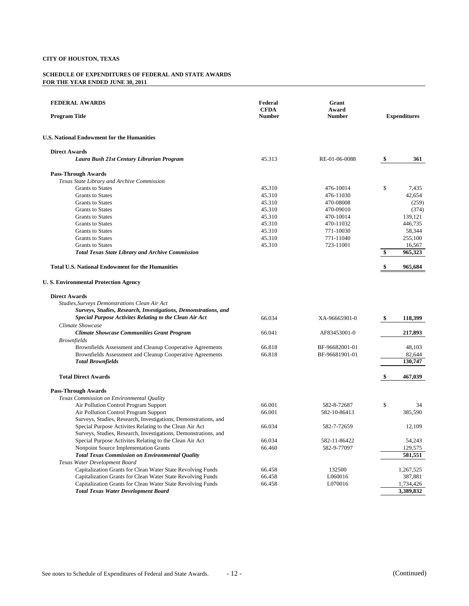| <b>FEDERAL AWARDS</b><br><b>Program Title</b>                   | Federal<br><b>CFDA</b><br><b>Number</b> | Grant<br>Award<br><b>Number</b> |     | <b>Expenditures</b> |
|-----------------------------------------------------------------|-----------------------------------------|---------------------------------|-----|---------------------|
| <b>U.S. National Endowment for the Humanities</b>               |                                         |                                 |     |                     |
| <b>Direct Awards</b>                                            |                                         |                                 |     |                     |
| Laura Bush 21st Century Librarian Program                       | 45.313                                  | RE-01-06-0088                   | \$  | 361                 |
| <b>Pass-Through Awards</b>                                      |                                         |                                 |     |                     |
| Texas State Library and Archive Commission                      |                                         |                                 |     |                     |
| <b>Grants to States</b>                                         | 45.310                                  | 476-10014                       | \$  | 7,435               |
| <b>Grants to States</b>                                         | 45.310                                  | 476-11030                       |     | 42.654              |
| <b>Grants</b> to States                                         | 45.310                                  | 470-08008                       |     | (259)               |
| <b>Grants</b> to States                                         | 45.310                                  | 470-09010                       |     | (374)               |
| <b>Grants</b> to States                                         | 45.310                                  | 470-10014                       |     | 139,121             |
| <b>Grants</b> to States                                         | 45.310                                  | 470-11032                       |     | 446,735             |
| <b>Grants</b> to States                                         | 45.310                                  | 771-10030                       |     | 58,344              |
| <b>Grants</b> to States                                         | 45.310                                  | 771-11040                       |     | 255,100             |
| <b>Grants</b> to States                                         | 45.310                                  | 723-11001                       |     | 16,567              |
| <b>Total Texas State Library and Archive Commission</b>         |                                         |                                 | \$  | 965,323             |
| <b>Total U.S. National Endowment for the Humanities</b>         |                                         |                                 | \$  | 965,684             |
| <b>U.S. Environmental Protection Agency</b>                     |                                         |                                 |     |                     |
| <b>Direct Awards</b>                                            |                                         |                                 |     |                     |
| Studies, Surveys Demonstrations Clean Air Act                   |                                         |                                 |     |                     |
| Surveys, Studies, Research, Investigations, Demonstrations, and |                                         |                                 |     |                     |
| <b>Special Purpose Activites Relating to the Clean Air Act</b>  | 66.034                                  | XA-96665901-0                   | -\$ | 118,399             |
| Climate Showcase                                                |                                         |                                 |     |                     |
| <b>Climate Showcase Communities Grant Program</b>               | 66.041                                  | AF83453001-0                    |     | 217,893             |
| <b>Brownfields</b>                                              |                                         |                                 |     |                     |
| Brownfields Assessment and Cleanup Cooperative Agreements       | 66.818                                  | BF-96682001-01                  |     | 48,103              |
| Brownfields Assessment and Cleanup Cooperative Agreements       | 66.818                                  | BF-96681901-01                  |     | 82,644              |
| <b>Total Brownfields</b>                                        |                                         |                                 |     | 130,747             |
|                                                                 |                                         |                                 |     |                     |
| <b>Total Direct Awards</b>                                      |                                         |                                 | \$  | 467,039             |
| <b>Pass-Through Awards</b>                                      |                                         |                                 |     |                     |
| Texas Commission on Environmental Quality                       |                                         |                                 |     |                     |
| Air Pollution Control Program Support                           | 66.001                                  | 582-8-72687                     | \$  | 34                  |
| Air Pollution Control Program Support                           | 66.001                                  | 582-10-86413                    |     | 385,590             |
| Surveys, Studies, Research, Investigations, Demonstrations, and |                                         |                                 |     |                     |
| Special Purpose Activites Relating to the Clean Air Act         | 66.034                                  | 582-7-72659                     |     | 12,109              |
| Surveys, Studies, Research, Investigations, Demonstrations, and |                                         |                                 |     |                     |
| Special Purpose Activites Relating to the Clean Air Act         | 66.034                                  | 582-11-86422                    |     | 54,243              |
| Nonpoint Source Implementation Grants                           | 66.460                                  | 582-9-77097                     |     | 129,575             |
| <b>Total Texas Commission on Environmental Quality</b>          |                                         |                                 |     | 581,551             |
| Texas Water Development Board                                   |                                         |                                 |     |                     |
| Capitalization Grants for Clean Water State Revolving Funds     | 66.458                                  | 132500                          |     | 1,267,525           |
| Capitalization Grants for Clean Water State Revolving Funds     | 66.458                                  | L060016                         |     | 387,881             |
| Capitalization Grants for Clean Water State Revolving Funds     | 66.458                                  | L070016                         |     | 1,734,426           |
| <b>Total Texas Water Development Board</b>                      |                                         |                                 |     | 3,389,832           |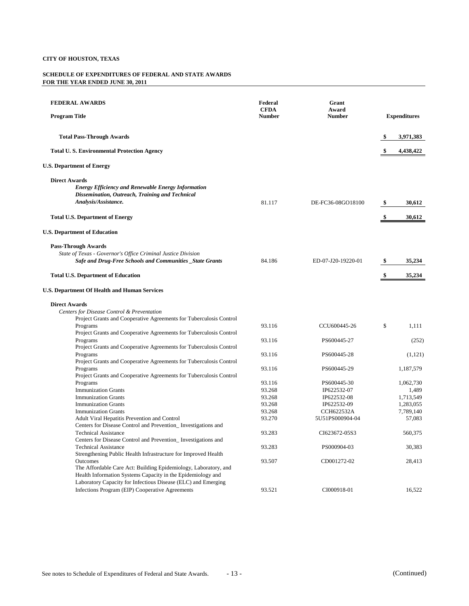| <b>FEDERAL AWARDS</b><br><b>Program Title</b>                                                                                                                                                               | Federal<br><b>CFDA</b><br><b>Number</b> | Grant<br>Award<br><b>Number</b>           | <b>Expenditures</b>             |
|-------------------------------------------------------------------------------------------------------------------------------------------------------------------------------------------------------------|-----------------------------------------|-------------------------------------------|---------------------------------|
| <b>Total Pass-Through Awards</b>                                                                                                                                                                            |                                         |                                           | 3,971,383                       |
| <b>Total U.S. Environmental Protection Agency</b>                                                                                                                                                           |                                         |                                           | 4,438,422                       |
| <b>U.S. Department of Energy</b>                                                                                                                                                                            |                                         |                                           |                                 |
| <b>Direct Awards</b><br><b>Energy Efficiency and Renewable Energy Information</b><br>Dissemination, Outreach, Training and Technical<br>Analysis/Assistance.                                                | 81.117                                  | DE-FC36-08GO18100                         | \$<br>30,612                    |
| <b>Total U.S. Department of Energy</b>                                                                                                                                                                      |                                         |                                           | \$<br>30,612                    |
| <b>U.S. Department of Education</b>                                                                                                                                                                         |                                         |                                           |                                 |
| <b>Pass-Through Awards</b><br>State of Texas - Governor's Office Criminal Justice Division<br><b>Safe and Drug-Free Schools and Communities _State Grants</b>                                               | 84.186                                  | ED-07-J20-19220-01                        | \$<br>35,234                    |
| <b>Total U.S. Department of Education</b>                                                                                                                                                                   |                                         |                                           | 35,234                          |
| U.S. Department Of Health and Human Services                                                                                                                                                                |                                         |                                           |                                 |
| <b>Direct Awards</b><br>Centers for Disease Control & Preventation<br>Project Grants and Cooperative Agreements for Tuberculosis Control                                                                    |                                         |                                           |                                 |
| Programs<br>Project Grants and Cooperative Agreements for Tuberculosis Control                                                                                                                              | 93.116                                  | CCU600445-26                              | \$<br>1,111                     |
| Programs<br>Project Grants and Cooperative Agreements for Tuberculosis Control                                                                                                                              | 93.116                                  | PS600445-27                               | (252)                           |
| Programs<br>Project Grants and Cooperative Agreements for Tuberculosis Control                                                                                                                              | 93.116                                  | PS600445-28                               | (1,121)                         |
| Programs<br>Project Grants and Cooperative Agreements for Tuberculosis Control                                                                                                                              | 93.116                                  | PS600445-29                               | 1,187,579                       |
| Programs<br><b>Immunization Grants</b><br><b>Immunization Grants</b>                                                                                                                                        | 93.116<br>93.268<br>93.268              | PS600445-30<br>IP622532-07<br>IP622532-08 | 1,062,730<br>1,489<br>1,713,549 |
| <b>Immunization Grants</b>                                                                                                                                                                                  | 93.268                                  | IP622532-09                               | 1,283,055                       |
| <b>Immunization Grants</b><br>Adult Viral Hepatitis Prevention and Control<br>Centers for Disease Control and Prevention_Investigations and                                                                 | 93.268<br>93.270                        | <b>CCH622532A</b><br>5U51PS000904-04      | 7,789,140<br>57,083             |
| <b>Technical Assistance</b><br>Centers for Disease Control and Prevention_Investigations and                                                                                                                | 93.283                                  | CI623672-05S3                             | 560,375                         |
| <b>Technical Assistance</b><br>Strengthening Public Health Infrastructure for Improved Health                                                                                                               | 93.283                                  | PS000904-03                               | 30,383                          |
| Outcomes<br>The Affordable Care Act: Building Epidemiology, Laboratory, and<br>Health Information Systems Capacity in the Epidemiology and<br>Laboratory Capacity for Infectious Disease (ELC) and Emerging | 93.507                                  | CD001272-02                               | 28,413                          |
| Infections Program (EIP) Cooperative Agreements                                                                                                                                                             | 93.521                                  | CI000918-01                               | 16,522                          |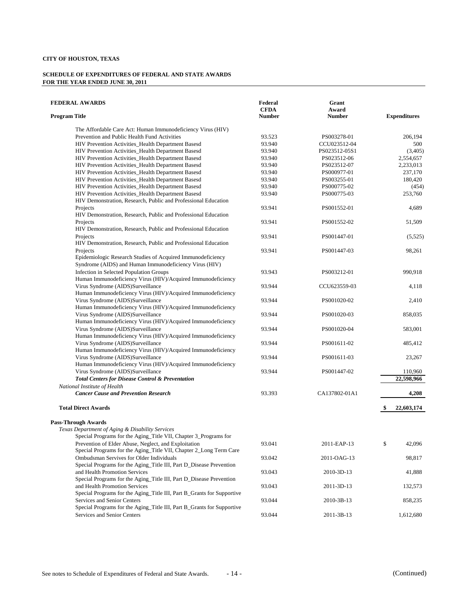| <b>FEDERAL AWARDS</b>                                                                                                 | Federal<br><b>CFDA</b> | Grant<br>Award |                     |
|-----------------------------------------------------------------------------------------------------------------------|------------------------|----------------|---------------------|
| <b>Program Title</b>                                                                                                  | <b>Number</b>          | <b>Number</b>  | <b>Expenditures</b> |
| The Affordable Care Act: Human Immunodeficiency Virus (HIV)                                                           |                        |                |                     |
| Prevention and Public Health Fund Activities                                                                          | 93.523                 | PS003278-01    | 206,194             |
| HIV Prevention Activities Health Department Basesd                                                                    | 93.940                 | CCU023512-04   | 500                 |
| HIV Prevention Activities_Health Department Basesd                                                                    | 93.940                 | PS023512-05S1  | (3,405)             |
| HIV Prevention Activities_Health Department Basesd                                                                    | 93.940                 | PS023512-06    | 2,554,657           |
| HIV Prevention Activities_Health Department Basesd                                                                    | 93.940                 | PS023512-07    | 2,233,013           |
| HIV Prevention Activities_Health Department Basesd                                                                    | 93.940                 | PS000977-01    | 237,170             |
| HIV Prevention Activities_Health Department Basesd                                                                    | 93.940                 | PS003255-01    | 180,420             |
| HIV Prevention Activities_Health Department Basesd                                                                    | 93.940                 | PS000775-02    | (454)               |
| HIV Prevention Activities_Health Department Basesd                                                                    | 93.940                 | PS000775-03    | 253,760             |
| HIV Demonstration, Research, Public and Professional Education                                                        |                        |                |                     |
| Projects                                                                                                              | 93.941                 | PS001552-01    | 4,689               |
| HIV Demonstration, Research, Public and Professional Education                                                        |                        |                |                     |
| Projects                                                                                                              | 93.941                 | PS001552-02    | 51,509              |
| HIV Demonstration, Research, Public and Professional Education                                                        |                        |                |                     |
| Projects                                                                                                              | 93.941                 | PS001447-01    | (5,525)             |
| HIV Demonstration, Research, Public and Professional Education                                                        |                        |                |                     |
| Projects                                                                                                              | 93.941                 | PS001447-03    | 98,261              |
| Epidemiologic Research Studies of Acquired Immunodeficiency<br>Syndrome (AIDS) and Human Immunodeficiency Virus (HIV) |                        |                |                     |
|                                                                                                                       |                        |                |                     |
| Infection in Selected Population Groups<br>Human Immunodeficiency Virus (HIV)/Acquired Immunodeficiency               | 93.943                 | PS003212-01    | 990,918             |
| Virus Syndrome (AIDS)Surveillance                                                                                     | 93.944                 | CCU623559-03   | 4,118               |
| Human Immunodeficiency Virus (HIV)/Acquired Immunodeficiency                                                          |                        |                |                     |
| Virus Syndrome (AIDS)Surveillance                                                                                     | 93.944                 | PS001020-02    | 2,410               |
| Human Immunodeficiency Virus (HIV)/Acquired Immunodeficiency                                                          |                        |                |                     |
| Virus Syndrome (AIDS)Surveillance                                                                                     | 93.944                 | PS001020-03    | 858,035             |
| Human Immunodeficiency Virus (HIV)/Acquired Immunodeficiency                                                          |                        |                |                     |
| Virus Syndrome (AIDS)Surveillance                                                                                     | 93.944                 | PS001020-04    | 583,001             |
| Human Immunodeficiency Virus (HIV)/Acquired Immunodeficiency                                                          |                        |                |                     |
| Virus Syndrome (AIDS)Surveillance                                                                                     | 93.944                 | PS001611-02    | 485,412             |
| Human Immunodeficiency Virus (HIV)/Acquired Immunodeficiency                                                          |                        |                |                     |
| Virus Syndrome (AIDS)Surveillance                                                                                     | 93.944                 | PS001611-03    | 23,267              |
| Human Immunodeficiency Virus (HIV)/Acquired Immunodeficiency                                                          |                        |                |                     |
| Virus Syndrome (AIDS)Surveillance                                                                                     | 93.944                 | PS001447-02    | 110,960             |
| <b>Total Centers for Disease Control &amp; Preventation</b>                                                           |                        |                | 22,598,966          |
| National Institute of Health                                                                                          |                        |                |                     |
| <b>Cancer Cause and Prevention Research</b>                                                                           | 93.393                 | CA137802-01A1  | 4,208               |
|                                                                                                                       |                        |                |                     |
| <b>Total Direct Awards</b>                                                                                            |                        |                | \$<br>22,603,174    |
| <b>Pass-Through Awards</b>                                                                                            |                        |                |                     |
| Texas Department of Aging & Disability Services                                                                       |                        |                |                     |
| Special Programs for the Aging_Title VII, Chapter 3_Programs for                                                      |                        |                |                     |
| Prevention of Elder Abuse, Neglect, and Exploitation                                                                  | 93.041                 | 2011-EAP-13    | \$<br>42,096        |
| Special Programs for the Aging_Title VII, Chapter 2_Long Term Care                                                    |                        |                |                     |
| Ombudsman Servives for Older Individuals                                                                              | 93.042                 | 2011-OAG-13    | 98,817              |
| Special Programs for the Aging_Title III, Part D_Disease Prevention                                                   |                        |                |                     |
| and Health Promotion Services                                                                                         | 93.043                 | 2010-3D-13     | 41,888              |
| Special Programs for the Aging_Title III, Part D_Disease Prevention                                                   |                        |                |                     |
| and Health Promotion Services                                                                                         | 93.043                 | 2011-3D-13     | 132,573             |
| Special Programs for the Aging_Title III, Part B_Grants for Supportive                                                |                        |                |                     |
| Services and Senior Centers                                                                                           | 93.044                 | 2010-3B-13     | 858,235             |
| Special Programs for the Aging_Title III, Part B_Grants for Supportive                                                |                        |                |                     |
| Services and Senior Centers                                                                                           | 93.044                 | 2011-3B-13     | 1,612,680           |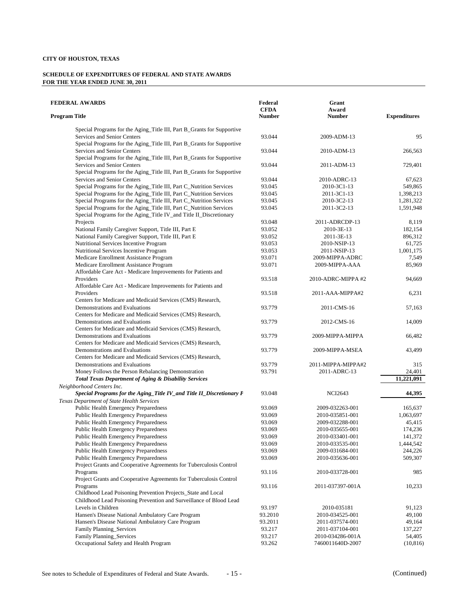| <b>FEDERAL AWARDS</b>                                                                                                                     | Federal<br><b>CFDA</b> | Grant<br>Award                 |                     |
|-------------------------------------------------------------------------------------------------------------------------------------------|------------------------|--------------------------------|---------------------|
| <b>Program Title</b>                                                                                                                      | <b>Number</b>          | <b>Number</b>                  | <b>Expenditures</b> |
| Special Programs for the Aging_Title III, Part B_Grants for Supportive                                                                    |                        |                                |                     |
| Services and Senior Centers                                                                                                               | 93.044                 | 2009-ADM-13                    | 95                  |
| Special Programs for the Aging_Title III, Part B_Grants for Supportive                                                                    |                        |                                |                     |
| Services and Senior Centers                                                                                                               | 93.044                 | 2010-ADM-13                    | 266,563             |
| Special Programs for the Aging_Title III, Part B_Grants for Supportive                                                                    |                        |                                |                     |
| Services and Senior Centers                                                                                                               | 93.044                 | 2011-ADM-13                    | 729,401             |
| Special Programs for the Aging_Title III, Part B_Grants for Supportive                                                                    |                        |                                |                     |
| Services and Senior Centers                                                                                                               | 93.044                 | 2010-ADRC-13                   | 67.623              |
| Special Programs for the Aging_Title III, Part C_Nutrition Services                                                                       | 93.045                 | 2010-3C1-13                    | 549,865             |
| Special Programs for the Aging_Title III, Part C_Nutrition Services                                                                       | 93.045                 | 2011-3C1-13                    | 1,398,213           |
| Special Programs for the Aging Title III, Part C Nutrition Services                                                                       | 93.045                 | 2010-3C2-13                    | 1,281,322           |
| Special Programs for the Aging_Title III, Part C_Nutrition Services<br>Special Programs for the Aging_Title IV_and Title II_Discretionary | 93.045                 | 2011-3C2-13                    | 1,591,948           |
| Projects                                                                                                                                  | 93.048                 | 2011-ADRCDP-13                 | 8,119               |
| National Family Caregiver Support, Title III, Part E                                                                                      | 93.052                 | 2010-3E-13                     | 182,154             |
| National Family Caregiver Support, Title III, Part E                                                                                      | 93.052                 | 2011-3E-13                     | 896,312             |
| Nutritional Services Incentive Program                                                                                                    | 93.053                 | 2010-NSIP-13                   | 61,725              |
| Nutritional Services Incentive Program                                                                                                    | 93.053                 | 2011-NSIP-13                   | 1,001,175           |
| Medicare Enrollment Assistance Program                                                                                                    | 93.071                 | 2009-MIPPA-ADRC                | 7,549               |
| Medicare Enrollment Assistance Program<br>Affordable Care Act - Medicare Improvements for Patients and                                    | 93.071                 | 2009-MIPPA-AAA                 | 85,969              |
| Providers                                                                                                                                 | 93.518                 | 2010-ADRC-MIPPA #2             | 94,669              |
| Affordable Care Act - Medicare Improvements for Patients and                                                                              |                        |                                |                     |
| Providers                                                                                                                                 | 93.518                 | 2011-AAA-MIPPA#2               | 6,231               |
| Centers for Medicare and Medicaid Services (CMS) Research,                                                                                |                        |                                |                     |
| Demonstrations and Evaluations                                                                                                            | 93.779                 | 2011-CMS-16                    | 57,163              |
| Centers for Medicare and Medicaid Services (CMS) Research,                                                                                |                        |                                |                     |
| Demonstrations and Evaluations                                                                                                            | 93.779                 | 2012-CMS-16                    | 14,009              |
| Centers for Medicare and Medicaid Services (CMS) Research,                                                                                |                        |                                |                     |
| Demonstrations and Evaluations                                                                                                            | 93.779                 | 2009-MIPPA-MIPPA               | 66,482              |
| Centers for Medicare and Medicaid Services (CMS) Research,                                                                                |                        |                                |                     |
| Demonstrations and Evaluations                                                                                                            | 93.779                 | 2009-MIPPA-MSEA                | 43,499              |
| Centers for Medicare and Medicaid Services (CMS) Research,                                                                                |                        |                                |                     |
| Demonstrations and Evaluations                                                                                                            | 93.779                 | 2011-MIPPA-MIPPA#2             | 315                 |
| Money Follows the Person Rebalancing Demonstration                                                                                        | 93.791                 | 2011-ADRC-13                   | 24,401              |
| <b>Total Texas Department of Aging &amp; Disability Services</b>                                                                          |                        |                                | 11,221,091          |
| Neighborhood Centers Inc.                                                                                                                 |                        |                                |                     |
| Special Programs for the Aging_Title IV_and Title II_Discretionary P                                                                      | 93.048                 | <b>NCI2643</b>                 | 44,395              |
| <b>Texas Department of State Health Services</b>                                                                                          |                        |                                |                     |
| Public Health Emergency Preparedness                                                                                                      | 93.069                 | 2009-032263-001                | 165.637             |
| Public Health Emergency Preparedness                                                                                                      | 93.069                 | 2010-035851-001                | 1,063,697           |
| <b>Public Health Emergency Preparedness</b>                                                                                               | 93.069                 | 2009-032288-001                | 45,415              |
| <b>Public Health Emergency Preparedness</b>                                                                                               | 93.069                 | 2010-035655-001                | 174,236             |
| Public Health Emergency Preparedness                                                                                                      | 93.069                 | 2010-033401-001                | 141,372             |
| Public Health Emergency Preparedness                                                                                                      | 93.069                 | 2010-033535-001                | 1,444,542           |
| <b>Public Health Emergency Preparedness</b>                                                                                               | 93.069                 | 2009-031684-001                | 244,226             |
| <b>Public Health Emergency Preparedness</b>                                                                                               | 93.069                 | 2010-035636-001                | 509,307             |
| Project Grants and Cooperative Agreements for Tuberculosis Control                                                                        |                        |                                |                     |
| Programs                                                                                                                                  | 93.116                 | 2010-033728-001                | 985                 |
| Project Grants and Cooperative Agreements for Tuberculosis Control                                                                        |                        |                                |                     |
| Programs<br>Childhood Lead Poisoning Prevention Projects_State and Local                                                                  | 93.116                 | 2011-037397-001A               | 10,233              |
|                                                                                                                                           |                        |                                |                     |
| Childhood Lead Poisoning Prevention and Surveillance of Blood Lead<br>Levels in Children                                                  |                        |                                |                     |
| Hansen's Disease National Ambulatory Care Program                                                                                         | 93.197<br>93.2010      | 2010-035181<br>2010-034525-001 | 91,123<br>49,100    |
| Hansen's Disease National Ambulatory Care Program                                                                                         | 93.2011                | 2011-037574-001                | 49,164              |
| Family Planning_Services                                                                                                                  | 93.217                 | 2011-037104-001                | 137,227             |
| Family Planning_Services                                                                                                                  | 93.217                 | 2010-034286-001A               | 54,405              |
| Occupational Safety and Health Program                                                                                                    | 93.262                 | 7460011640D-2007               | (10, 816)           |
|                                                                                                                                           |                        |                                |                     |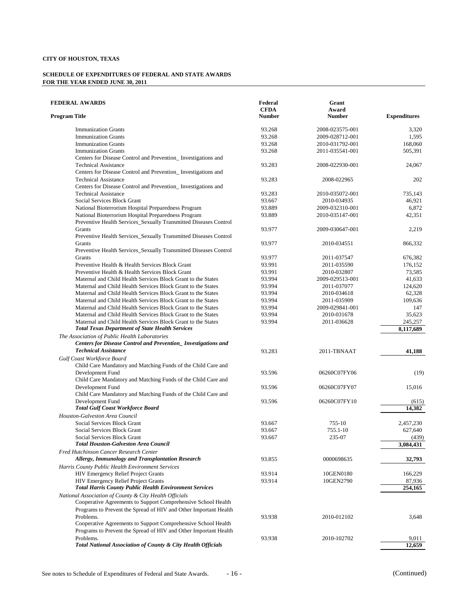| <b>FEDERAL AWARDS</b>                                                | Federal<br><b>CFDA</b> | Grant<br>Award  |                     |
|----------------------------------------------------------------------|------------------------|-----------------|---------------------|
| <b>Program Title</b>                                                 | <b>Number</b>          | <b>Number</b>   | <b>Expenditures</b> |
| <b>Immunization Grants</b>                                           | 93.268                 | 2008-023575-001 | 3,320               |
| <b>Immunization Grants</b>                                           | 93.268                 | 2009-028712-001 | 1,595               |
| <b>Immunization Grants</b>                                           | 93.268                 | 2010-031792-001 | 168,060             |
| <b>Immunization Grants</b>                                           | 93.268                 | 2011-035541-001 | 505,391             |
| Centers for Disease Control and Prevention_Investigations and        |                        |                 |                     |
| <b>Technical Assistance</b>                                          | 93.283                 | 2008-022930-001 | 24,067              |
| Centers for Disease Control and Prevention_Investigations and        |                        |                 |                     |
| <b>Technical Assistance</b>                                          | 93.283                 | 2008-022965     | 202                 |
| Centers for Disease Control and Prevention_Investigations and        |                        |                 |                     |
| <b>Technical Assistance</b>                                          | 93.283                 | 2010-035072-001 | 735,143             |
| Social Services Block Grant                                          | 93.667                 | 2010-034935     | 46,921              |
| National Bioterrorism Hospital Preparedness Program                  | 93.889                 | 2009-032310-001 | 6,872               |
| National Bioterrorism Hospital Preparedness Program                  | 93.889                 | 2010-035147-001 | 42,351              |
| Preventive Health Services_Sexually Transmitted Diseases Control     |                        |                 |                     |
| Grants                                                               | 93.977                 | 2009-030647-001 | 2,219               |
| Preventive Health Services_Sexually Transmitted Diseases Control     |                        |                 |                     |
| Grants                                                               | 93.977                 | 2010-034551     | 866,332             |
| Preventive Health Services_Sexually Transmitted Diseases Control     |                        |                 |                     |
| Grants                                                               | 93.977                 | 2011-037547     | 676,382             |
| Preventive Health & Health Services Block Grant                      | 93.991                 | 2011-035590     | 176,152             |
| Preventive Health & Health Services Block Grant                      | 93.991                 | 2010-032807     | 73,585              |
|                                                                      | 93.994                 |                 | 41,633              |
| Maternal and Child Health Services Block Grant to the States         | 93.994                 | 2009-029513-001 |                     |
| Maternal and Child Health Services Block Grant to the States         |                        | 2011-037077     | 124,620             |
| Maternal and Child Health Services Block Grant to the States         | 93.994                 | 2010-034618     | 62,328              |
| Maternal and Child Health Services Block Grant to the States         | 93.994                 | 2011-035909     | 109,636             |
| Maternal and Child Health Services Block Grant to the States         | 93.994                 | 2009-029841-001 | 147                 |
| Maternal and Child Health Services Block Grant to the States         | 93.994                 | 2010-031678     | 35,623              |
| Maternal and Child Health Services Block Grant to the States         | 93.994                 | 2011-036628     | 245,257             |
| <b>Total Texas Department of State Health Services</b>               |                        |                 | 8,117,689           |
| The Association of Public Health Laboratories                        |                        |                 |                     |
| <b>Centers for Disease Control and Prevention_Investigations and</b> |                        |                 |                     |
| <b>Technical Assistance</b>                                          | 93.283                 | 2011-TBNAAT     | 41,188              |
| Gulf Coast Workforce Board                                           |                        |                 |                     |
| Child Care Mandatory and Matching Funds of the Child Care and        |                        |                 |                     |
| Development Fund                                                     | 93.596                 | 06260C07FY06    | (19)                |
| Child Care Mandatory and Matching Funds of the Child Care and        |                        |                 |                     |
| Development Fund                                                     | 93.596                 | 06260C07FY07    | 15,016              |
| Child Care Mandatory and Matching Funds of the Child Care and        |                        |                 |                     |
| Development Fund                                                     | 93.596                 | 06260C07FY10    | (615)               |
| <b>Total Gulf Coast Workforce Board</b>                              |                        |                 | 14,382              |
| Houston-Galveston Area Council                                       |                        |                 |                     |
| Social Services Block Grant                                          | 93.667                 | 755-10          | 2,457,230           |
| Social Services Block Grant                                          | 93.667                 | 755.1-10        | 627,640             |
| Social Services Block Grant                                          | 93.667                 | 235-07          | (439)               |
| <b>Total Houston-Galveston Area Council</b>                          |                        |                 | 3.084.431           |
| Fred Hutchinson Cancer Research Center                               |                        |                 |                     |
| Allergy, Immunology and Transplantation Research                     | 93.855                 | 0000698635      | 32,793              |
| Harris County Public Health Environment Services                     |                        |                 |                     |
| HIV Emergency Relief Project Grants                                  | 93.914                 | 10GEN0180       | 166,229             |
| <b>HIV Emergency Relief Project Grants</b>                           | 93.914                 | 10GEN2790       | 87,936              |
| <b>Total Harris County Public Health Environment Services</b>        |                        |                 | 254,165             |
| National Association of County & City Health Officials               |                        |                 |                     |
| Cooperative Agreements to Support Comprehensive School Health        |                        |                 |                     |
| Programs to Prevent the Spread of HIV and Other Important Health     |                        |                 |                     |
| Problems.                                                            | 93.938                 | 2010-012102     | 3,648               |
| Cooperative Agreements to Support Comprehensive School Health        |                        |                 |                     |
| Programs to Prevent the Spread of HIV and Other Important Health     |                        |                 |                     |
| Problems.                                                            | 93.938                 | 2010-102702     | 9,011               |
| Total National Association of County & City Health Officials         |                        |                 | 12,659              |
|                                                                      |                        |                 |                     |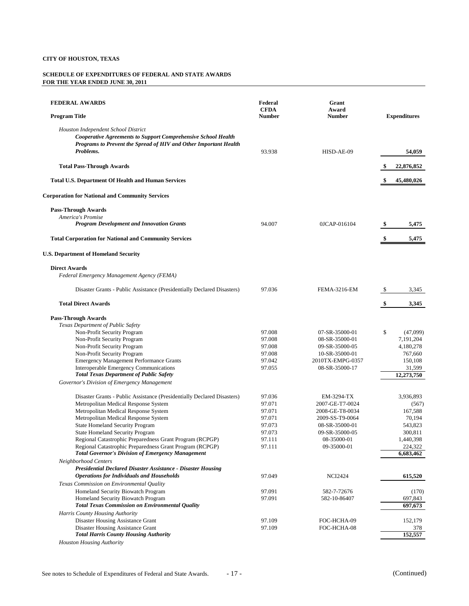| <b>FEDERAL AWARDS</b>                                                                                       | Federal<br><b>CFDA</b> | Grant<br>Award                   |    |                       |
|-------------------------------------------------------------------------------------------------------------|------------------------|----------------------------------|----|-----------------------|
| <b>Program Title</b>                                                                                        | <b>Number</b>          | <b>Number</b>                    |    | <b>Expenditures</b>   |
| Houston Independent School District<br><b>Cooperative Agreements to Support Comprehensive School Health</b> |                        |                                  |    |                       |
| Programs to Prevent the Spread of HIV and Other Important Health<br>Problems.                               | 93.938                 | HISD-AE-09                       |    | 54,059                |
|                                                                                                             |                        |                                  |    |                       |
| <b>Total Pass-Through Awards</b>                                                                            |                        |                                  |    | 22,876,852            |
| <b>Total U.S. Department Of Health and Human Services</b>                                                   |                        |                                  |    | 45,480,026            |
| <b>Corporation for National and Community Services</b>                                                      |                        |                                  |    |                       |
| <b>Pass-Through Awards</b>                                                                                  |                        |                                  |    |                       |
| America's Promise                                                                                           |                        |                                  |    |                       |
| <b>Program Development and Innovation Grants</b>                                                            | 94.007                 | 0JCAP-016104                     | \$ | 5,475                 |
| <b>Total Corporation for National and Community Services</b>                                                |                        |                                  | \$ | 5,475                 |
| <b>U.S. Department of Homeland Security</b>                                                                 |                        |                                  |    |                       |
| <b>Direct Awards</b>                                                                                        |                        |                                  |    |                       |
| Federal Emergency Management Agency (FEMA)                                                                  |                        |                                  |    |                       |
| Disaster Grants - Public Assistance (Presidentially Declared Disasters)                                     | 97.036                 | <b>FEMA-3216-EM</b>              | S  | 3,345                 |
| <b>Total Direct Awards</b>                                                                                  |                        |                                  | \$ | 3,345                 |
| <b>Pass-Through Awards</b>                                                                                  |                        |                                  |    |                       |
| Texas Department of Public Safety                                                                           |                        |                                  |    |                       |
| Non-Profit Security Program<br>Non-Profit Security Program                                                  | 97.008<br>97.008       | 07-SR-35000-01<br>08-SR-35000-01 | \$ | (47,099)<br>7,191,204 |
| Non-Profit Security Program                                                                                 | 97.008                 | 09-SR-35000-05                   |    | 4,180,278             |
| Non-Profit Security Program                                                                                 | 97.008                 | 10-SR-35000-01                   |    | 767,660               |
| <b>Emergency Management Performance Grants</b>                                                              | 97.042                 | 2010TX-EMPG-0357                 |    | 150,108               |
| Interoperable Emergency Communications                                                                      | 97.055                 | 08-SR-35000-17                   |    | 31,599                |
| <b>Total Texas Department of Public Safety</b>                                                              |                        |                                  |    | 12,273,750            |
| Governor's Division of Emergency Management                                                                 |                        |                                  |    |                       |
| Disaster Grants - Public Assistance (Presidentially Declared Disasters)                                     | 97.036                 | EM-3294-TX                       |    | 3,936,893             |
| Metropolitan Medical Response System                                                                        | 97.071                 | 2007-GE-T7-0024                  |    | (567)                 |
| Metropolitan Medical Response System                                                                        | 97.071                 | 2008-GE-T8-0034                  |    | 167,588               |
| Metropolitan Medical Response System                                                                        | 97.071<br>97.073       | 2009-SS-T9-0064                  |    | 70,194                |
| <b>State Homeland Security Program</b><br><b>State Homeland Security Program</b>                            | 97.073                 | 08-SR-35000-01<br>09-SR-35000-05 |    | 543,823<br>300,811    |
| Regional Catastrophic Preparedness Grant Program (RCPGP)                                                    | 97.111                 | 08-35000-01                      |    | 1,440,398             |
| Regional Catastrophic Preparedness Grant Program (RCPGP)                                                    | 97.111                 | 09-35000-01                      |    | 224,322               |
| <b>Total Governor's Division of Emergency Management</b>                                                    |                        |                                  |    | 6,683,462             |
| Neighborhood Centers                                                                                        |                        |                                  |    |                       |
| <b>Presidential Declared Disaster Assistance - Disaster Housing</b>                                         |                        |                                  |    |                       |
| <b>Operations for Individuals and Households</b><br>Texas Commission on Environmental Quality               | 97.049                 | <b>NCI2424</b>                   |    | 615,520               |
| Homeland Security Biowatch Program                                                                          | 97.091                 | 582-7-72676                      |    | (170)                 |
| Homeland Security Biowatch Program                                                                          | 97.091                 | 582-10-86407                     |    | 697,843               |
| <b>Total Texas Commission on Environmental Quality</b>                                                      |                        |                                  |    | 697,673               |
| Harris County Housing Authority                                                                             |                        |                                  |    |                       |
| Disaster Housing Assistance Grant                                                                           | 97.109                 | FOC-HCHA-09                      |    | 152,179               |
| Disaster Housing Assistance Grant<br><b>Total Harris County Housing Authority</b>                           | 97.109                 | FOC-HCHA-08                      |    | 378<br>152,557        |
| <b>Houston Housing Authority</b>                                                                            |                        |                                  |    |                       |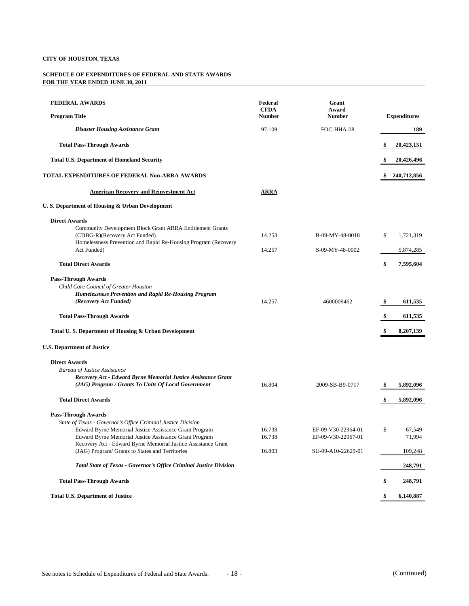| <b>FEDERAL AWARDS</b><br><b>Program Title</b>                                                                                                                                       | Federal<br><b>CFDA</b><br><b>Number</b> | Grant<br>Award<br><b>Number</b>          |    | <b>Expenditures</b> |
|-------------------------------------------------------------------------------------------------------------------------------------------------------------------------------------|-----------------------------------------|------------------------------------------|----|---------------------|
| <b>Disaster Housing Assistance Grant</b>                                                                                                                                            | 97.109                                  | FOC-HHA-08                               |    | 189                 |
| <b>Total Pass-Through Awards</b>                                                                                                                                                    |                                         |                                          | \$ | 20,423,151          |
| <b>Total U.S. Department of Homeland Security</b>                                                                                                                                   |                                         |                                          | \$ | 20,426,496          |
| TOTAL EXPENDITURES OF FEDERAL Non-ARRA AWARDS                                                                                                                                       |                                         |                                          | S  | 240,712,856         |
| <b>American Recovery and Reinvestment Act</b>                                                                                                                                       | <b>ARRA</b>                             |                                          |    |                     |
| U.S. Department of Housing & Urban Development                                                                                                                                      |                                         |                                          |    |                     |
| <b>Direct Awards</b><br>Community Development Block Grant ARRA Entitlement Grants                                                                                                   | 14.253                                  |                                          |    |                     |
| (CDBG-R)(Recovery Act Funded)<br>Homelessness Prevention and Rapid Re-Housing Program (Recovery                                                                                     |                                         | B-09-MY-48-0018                          | \$ | 1,721,319           |
| Act Funded)                                                                                                                                                                         | 14.257                                  | S-09-MY-48-0002                          |    | 5,874,285           |
| <b>Total Direct Awards</b>                                                                                                                                                          |                                         |                                          | \$ | 7,595,604           |
| <b>Pass-Through Awards</b><br>Child Care Council of Greater Houston<br><b>Homelessness Prevention and Rapid Re-Housing Program</b><br>(Recovery Act Funded)                         | 14.257                                  | 4600009462                               | \$ | 611,535             |
| <b>Total Pass-Through Awards</b>                                                                                                                                                    |                                         |                                          | \$ | 611,535             |
| Total U.S. Department of Housing & Urban Development                                                                                                                                |                                         |                                          | \$ | 8,207,139           |
| <b>U.S. Department of Justice</b>                                                                                                                                                   |                                         |                                          |    |                     |
| <b>Direct Awards</b><br><b>Bureau of Justice Assistance</b><br>Recovery Act - Edward Byrne Memorial Justice Assistance Grant<br>(JAG) Program / Grants To Units Of Local Government | 16.804                                  | 2009-SB-B9-0717                          | \$ | 5,892,096           |
| <b>Total Direct Awards</b>                                                                                                                                                          |                                         |                                          | \$ | 5,892,096           |
| <b>Pass-Through Awards</b><br>State of Texas - Governor's Office Criminal Justice Division                                                                                          |                                         |                                          |    |                     |
| Edward Byrne Memorial Justice Assistance Grant Program<br>Edward Byrne Memorial Justice Assistance Grant Program                                                                    | 16.738<br>16.738                        | EF-09-V30-22964-01<br>EF-09-V30-22967-01 | \$ | 67,549<br>71,994    |
| Recovery Act - Edward Byrne Memorial Justice Assistance Grant<br>(JAG) Program/ Grants to States and Territories                                                                    | 16.803                                  | SU-09-A10-22629-01                       |    | 109,248             |
| Total State of Texas - Governor's Office Criminal Justice Division                                                                                                                  |                                         |                                          |    | 248,791             |
| <b>Total Pass-Through Awards</b>                                                                                                                                                    |                                         |                                          | \$ | 248,791             |
| <b>Total U.S. Department of Justice</b>                                                                                                                                             |                                         |                                          | \$ | 6,140,887           |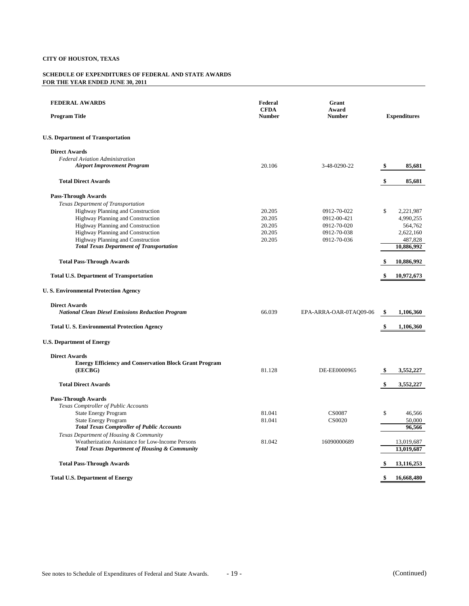| <b>FEDERAL AWARDS</b><br><b>Program Title</b>                 | Federal<br><b>CFDA</b><br><b>Number</b> | Grant<br>Award<br><b>Number</b> |    | <b>Expenditures</b> |
|---------------------------------------------------------------|-----------------------------------------|---------------------------------|----|---------------------|
| <b>U.S. Department of Transportation</b>                      |                                         |                                 |    |                     |
| <b>Direct Awards</b>                                          |                                         |                                 |    |                     |
| <b>Federal Aviation Administration</b>                        |                                         |                                 |    |                     |
| <b>Airport Improvement Program</b>                            | 20.106                                  | 3-48-0290-22                    | \$ | 85,681              |
| <b>Total Direct Awards</b>                                    |                                         |                                 | \$ | 85,681              |
| <b>Pass-Through Awards</b>                                    |                                         |                                 |    |                     |
| Texas Department of Transportation                            |                                         |                                 |    |                     |
| Highway Planning and Construction                             | 20.205                                  | 0912-70-022                     | \$ | 2,221,987           |
| Highway Planning and Construction                             | 20.205                                  | 0912-00-421                     |    | 4,990,255           |
| Highway Planning and Construction                             | 20.205                                  | 0912-70-020                     |    | 564,762             |
| Highway Planning and Construction                             | 20.205                                  | 0912-70-038                     |    | 2,622,160           |
| Highway Planning and Construction                             | 20.205                                  | 0912-70-036                     |    | 487,828             |
| <b>Total Texas Department of Transportation</b>               |                                         |                                 |    | 10,886,992          |
| <b>Total Pass-Through Awards</b>                              |                                         |                                 | \$ | 10,886,992          |
| <b>Total U.S. Department of Transportation</b>                |                                         |                                 | \$ | 10,972,673          |
| <b>U.S. Environmental Protection Agency</b>                   |                                         |                                 |    |                     |
| <b>Direct Awards</b>                                          |                                         |                                 |    |                     |
| <b>National Clean Diesel Emissions Reduction Program</b>      | 66.039                                  | EPA-ARRA-OAR-0TAQ09-06          | \$ | 1,106,360           |
| <b>Total U.S. Environmental Protection Agency</b>             |                                         |                                 |    | 1,106,360           |
| <b>U.S. Department of Energy</b>                              |                                         |                                 |    |                     |
| <b>Direct Awards</b>                                          |                                         |                                 |    |                     |
| <b>Energy Efficiency and Conservation Block Grant Program</b> |                                         |                                 |    |                     |
| (EECBG)                                                       | 81.128                                  | DE-EE0000965                    | \$ | 3,552,227           |
| <b>Total Direct Awards</b>                                    |                                         |                                 | \$ | 3,552,227           |
| <b>Pass-Through Awards</b>                                    |                                         |                                 |    |                     |
| Texas Comptroller of Public Accounts                          |                                         |                                 |    |                     |
| <b>State Energy Program</b>                                   | 81.041                                  | <b>CS0087</b>                   | \$ | 46,566              |
| <b>State Energy Program</b>                                   | 81.041                                  | CS0020                          |    | 50,000              |
| <b>Total Texas Comptroller of Public Accounts</b>             |                                         |                                 |    | 96,566              |
| Texas Department of Housing & Community                       |                                         |                                 |    |                     |
| Weatherization Assistance for Low-Income Persons              | 81.042                                  | 16090000689                     |    | 13,019,687          |
| <b>Total Texas Department of Housing &amp; Community</b>      |                                         |                                 |    | 13,019,687          |
| <b>Total Pass-Through Awards</b>                              |                                         |                                 |    | 13,116,253          |
| <b>Total U.S. Department of Energy</b>                        |                                         |                                 | \$ | 16,668,480          |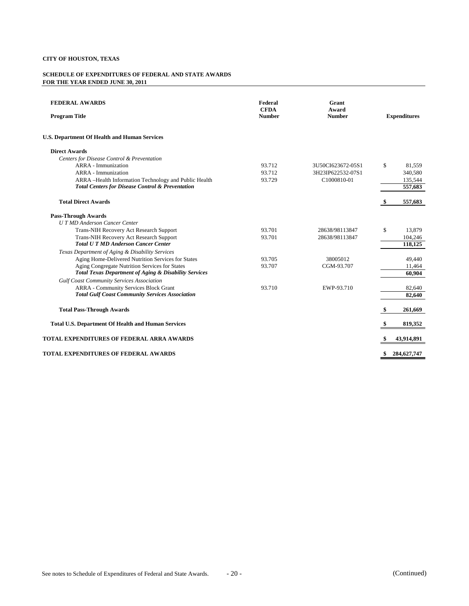| <b>FEDERAL AWARDS</b><br><b>Program Title</b>                    | Federal<br><b>CFDA</b><br><b>Number</b> | Grant<br>Award<br><b>Number</b> |     | <b>Expenditures</b> |
|------------------------------------------------------------------|-----------------------------------------|---------------------------------|-----|---------------------|
|                                                                  |                                         |                                 |     |                     |
| <b>U.S. Department Of Health and Human Services</b>              |                                         |                                 |     |                     |
| <b>Direct Awards</b>                                             |                                         |                                 |     |                     |
| Centers for Disease Control & Preventation                       |                                         |                                 |     |                     |
| ARRA - Immunization                                              | 93.712                                  | 3U50CI623672-05S1               | \$  | 81.559              |
| <b>ARRA</b> - Immunization                                       | 93.712                                  | 3H23IP622532-07S1               |     | 340,580             |
| ARRA -Health Information Technology and Public Health            | 93.729                                  | C1000810-01                     |     | 135,544             |
| <b>Total Centers for Disease Control &amp; Preventation</b>      |                                         |                                 |     | 557,683             |
| <b>Total Direct Awards</b>                                       |                                         |                                 |     | 557,683             |
| <b>Pass-Through Awards</b>                                       |                                         |                                 |     |                     |
| <b>UTMD</b> Anderson Cancer Center                               |                                         |                                 |     |                     |
| Trans-NIH Recovery Act Research Support                          | 93.701                                  | 28638/98113847                  | \$. | 13,879              |
| Trans-NIH Recovery Act Research Support                          | 93.701                                  | 28638/98113847                  |     | 104,246             |
| <b>Total U T MD Anderson Cancer Center</b>                       |                                         |                                 |     | 118,125             |
| Texas Department of Aging & Disability Services                  |                                         |                                 |     |                     |
| Aging Home-Delivered Nutrition Services for States               | 93.705                                  | 38005012                        |     | 49,440              |
| Aging Congregate Nutrition Services for States                   | 93.707                                  | CGM-93.707                      |     | 11,464              |
| <b>Total Texas Department of Aging &amp; Disability Services</b> |                                         |                                 |     | 60.904              |
| <b>Gulf Coast Community Services Association</b>                 |                                         |                                 |     |                     |
| <b>ARRA - Community Services Block Grant</b>                     | 93.710                                  | EWP-93.710                      |     | 82,640              |
| <b>Total Gulf Coast Community Services Association</b>           |                                         |                                 |     | 82,640              |
| <b>Total Pass-Through Awards</b>                                 |                                         |                                 | S   | 261.669             |
| <b>Total U.S. Department Of Health and Human Services</b>        |                                         |                                 |     | 819,352             |
| TOTAL EXPENDITURES OF FEDERAL ARRA AWARDS                        |                                         |                                 |     | 43,914,891          |
| <b>TOTAL EXPENDITURES OF FEDERAL AWARDS</b>                      |                                         |                                 | \$  | 284,627,747         |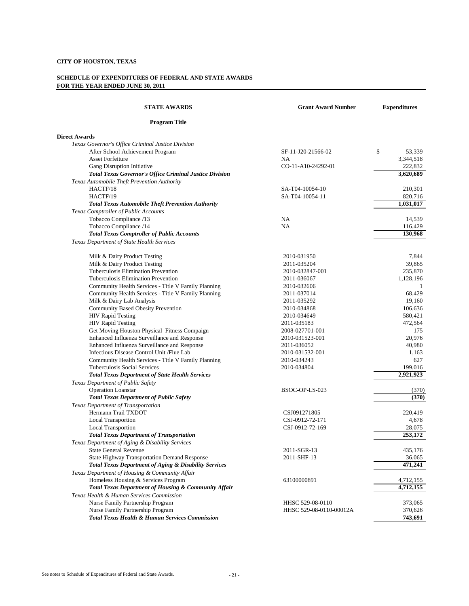| <u>STATE AWARDS</u>                                              | <b>Grant Award Number</b> | <b>Expenditures</b> |
|------------------------------------------------------------------|---------------------------|---------------------|
| <b>Program Title</b>                                             |                           |                     |
| <b>Direct Awards</b>                                             |                           |                     |
| Texas Governor's Office Criminal Justice Division                |                           |                     |
| After School Achievement Program                                 | SF-11-J20-21566-02        | \$<br>53,339        |
| <b>Asset Forfeiture</b>                                          | <b>NA</b>                 | 3,344,518           |
| Gang Disruption Initiative                                       | CO-11-A10-24292-01        | 222,832             |
| Total Texas Governor's Office Criminal Justice Division          |                           | 3,620,689           |
| Texas Automobile Theft Prevention Authority                      |                           |                     |
| HACTF/18                                                         | SA-T04-10054-10           | 210,301             |
| HACTF/19                                                         | SA-T04-10054-11           | 820,716             |
| <b>Total Texas Automobile Theft Prevention Authority</b>         |                           | 1,031,017           |
| Texas Comptroller of Public Accounts                             |                           |                     |
| Tobacco Compliance /13                                           | <b>NA</b>                 | 14,539              |
| Tobacco Compliance /14                                           | <b>NA</b>                 | 116,429             |
| <b>Total Texas Comptroller of Public Accounts</b>                |                           | 130,968             |
| Texas Department of State Health Services                        |                           |                     |
| Milk & Dairy Product Testing                                     | 2010-031950               | 7,844               |
| Milk & Dairy Product Testing                                     | 2011-035204               | 39.865              |
| Tuberculosis Elimination Prevention                              | 2010-032847-001           | 235,870             |
| <b>Tuberculosis Elimination Prevention</b>                       | 2011-036067               | 1,128,196           |
| Community Health Services - Title V Family Planning              | 2010-032606               | 1                   |
| Community Health Services - Title V Family Planning              | 2011-037014               | 68.429              |
| Milk & Dairy Lab Analysis                                        | 2011-035292               | 19,160              |
| Community Based Obesity Prevention                               | 2010-034868               | 106,636             |
| <b>HIV Rapid Testing</b>                                         | 2010-034649               | 580,421             |
| <b>HIV Rapid Testing</b>                                         | 2011-035183               | 472,564             |
| Get Moving Houston Physical Fitness Compaign                     | 2008-027701-001           | 175                 |
| Enhanced Influenza Surveillance and Response                     | 2010-031523-001           | 20,976              |
| Enhanced Influenza Surveillance and Response                     | 2011-036052               | 40,980              |
| Infectious Disease Control Unit /Flue Lab                        | 2010-031532-001           | 1,163               |
| Community Health Services - Title V Family Planning              | 2010-034243               | 627                 |
| Tuberculosis Social Services                                     | 2010-034804               | 199,016             |
| <b>Total Texas Department of State Health Services</b>           |                           | 2,921,923           |
| Texas Department of Public Safety                                |                           |                     |
| <b>Operation Loanstar</b>                                        | BSOC-OP-LS-023            | (370)               |
| <b>Total Texas Department of Public Safety</b>                   |                           | (370)               |
| Texas Department of Transportation                               |                           |                     |
| Hermann Trail TXDOT                                              | CSJ091271805              | 220,419             |
| <b>Local Transportion</b>                                        | CSJ-0912-72-171           | 4,678               |
| <b>Local Transportion</b>                                        | CSJ-0912-72-169           | 28,075              |
| <b>Total Texas Department of Transportation</b>                  |                           | 253,172             |
| Texas Department of Aging & Disability Services                  |                           |                     |
| <b>State General Revenue</b>                                     | 2011-SGR-13               | 435,176             |
| <b>State Highway Transportation Demand Response</b>              | 2011-SHF-13               | 36,065              |
| <b>Total Texas Department of Aging &amp; Disability Services</b> |                           | 471,241             |
| Texas Department of Housing & Community Affair                   |                           |                     |
| Homeless Housing & Services Program                              | 63100000891               | 4,712,155           |
| Total Texas Department of Housing & Community Affair             |                           | 4,712,155           |
| Texas Health & Human Services Commission                         |                           |                     |
| Nurse Family Partnership Program                                 | HHSC 529-08-0110          | 373,065             |
| Nurse Family Partnership Program                                 | HHSC 529-08-0110-00012A   | 370,626             |
| <b>Total Texas Health &amp; Human Services Commission</b>        |                           | 743,691             |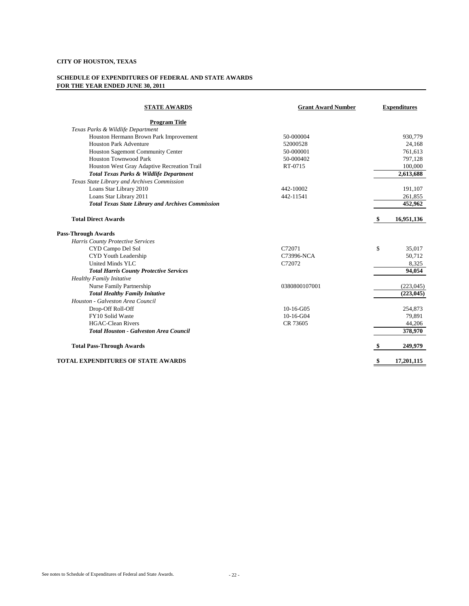| <b>STATE AWARDS</b>                                      | <b>Grant Award Number</b> | <b>Expenditures</b> |
|----------------------------------------------------------|---------------------------|---------------------|
| <b>Program Title</b>                                     |                           |                     |
| Texas Parks & Wildlife Department                        |                           |                     |
| Houston Hermann Brown Park Improvement                   | 50-000004                 | 930,779             |
| <b>Houston Park Adventure</b>                            | 52000528                  | 24.168              |
| Houston Sagemont Community Center                        | 50-000001                 | 761,613             |
| <b>Houston Townwood Park</b>                             | 50-000402                 | 797,128             |
| Houston West Gray Adaptive Recreation Trail              | RT-0715                   | 100,000             |
| Total Texas Parks & Wildlife Department                  |                           | 2,613,688           |
| Texas State Library and Archives Commission              |                           |                     |
| Loans Star Library 2010                                  | 442-10002                 | 191,107             |
| Loans Star Library 2011                                  | 442-11541                 | 261,855             |
| <b>Total Texas State Library and Archives Commission</b> |                           | 452,962             |
| <b>Total Direct Awards</b>                               |                           | 16,951,136          |
| <b>Pass-Through Awards</b>                               |                           |                     |
| Harris County Protective Services                        |                           |                     |
| CYD Campo Del Sol                                        | C72071                    | \$<br>35,017        |
| CYD Youth Leadership                                     | C73996-NCA                | 50,712              |
| United Minds YLC                                         | C72072                    | 8,325               |
| <b>Total Harris County Protective Services</b>           |                           | 94,054              |
| <b>Healthy Family Initative</b>                          |                           |                     |
| Nurse Family Partnership                                 | 0380800107001             | (223, 045)          |
| <b>Total Healthy Family Initative</b>                    |                           | (223, 045)          |
| Houston - Galveston Area Council                         |                           |                     |
| Drop-Off Roll-Off                                        | $10-16-G05$               | 254,873             |
| FY10 Solid Waste                                         | $10-16-G04$               | 79,891              |
| <b>HGAC-Clean Rivers</b>                                 | CR 73605                  | 44,206              |
| <b>Total Houston - Galveston Area Council</b>            |                           | 378,970             |
| <b>Total Pass-Through Awards</b>                         |                           | 249,979             |
| TOTAL EXPENDITURES OF STATE AWARDS                       |                           | \$<br>17,201,115    |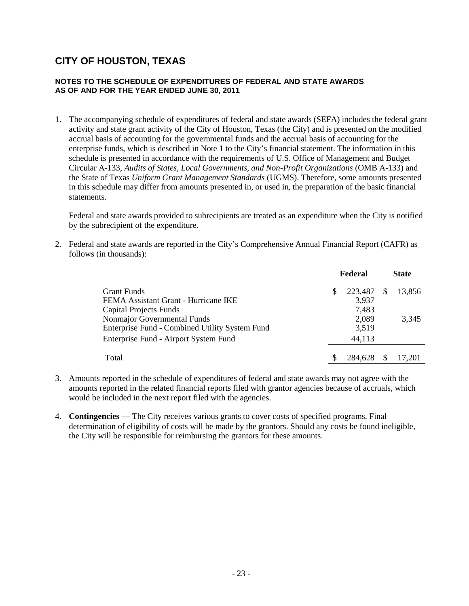#### **NOTES TO THE SCHEDULE OF EXPENDITURES OF FEDERAL AND STATE AWARDS AS OF AND FOR THE YEAR ENDED JUNE 30, 2011**

1. The accompanying schedule of expenditures of federal and state awards (SEFA) includes the federal grant activity and state grant activity of the City of Houston, Texas (the City) and is presented on the modified accrual basis of accounting for the governmental funds and the accrual basis of accounting for the enterprise funds, which is described in Note 1 to the City's financial statement. The information in this schedule is presented in accordance with the requirements of U.S. Office of Management and Budget Circular A-133, *Audits of States, Local Governments, and Non-Profit Organizations* (OMB A-133) and the State of Texas *Uniform Grant Management Standards* (UGMS). Therefore, some amounts presented in this schedule may differ from amounts presented in, or used in, the preparation of the basic financial statements.

Federal and state awards provided to subrecipients are treated as an expenditure when the City is notified by the subrecipient of the expenditure.

2. Federal and state awards are reported in the City's Comprehensive Annual Financial Report (CAFR) as follows (in thousands):

|                                                |   | Federal |               | <b>State</b> |
|------------------------------------------------|---|---------|---------------|--------------|
| Grant Funds                                    | S | 223,487 | <sup>\$</sup> | 13.856       |
| FEMA Assistant Grant - Hurricane IKE           |   | 3,937   |               |              |
| Capital Projects Funds                         |   | 7,483   |               |              |
| Nonmajor Governmental Funds                    |   | 2,089   |               | 3.345        |
| Enterprise Fund - Combined Utility System Fund |   | 3,519   |               |              |
| Enterprise Fund - Airport System Fund          |   | 44,113  |               |              |
| Total                                          |   | 284.628 |               | 17.201       |

- 3. Amounts reported in the schedule of expenditures of federal and state awards may not agree with the amounts reported in the related financial reports filed with grantor agencies because of accruals, which would be included in the next report filed with the agencies.
- 4. **Contingencies** The City receives various grants to cover costs of specified programs. Final determination of eligibility of costs will be made by the grantors. Should any costs be found ineligible, the City will be responsible for reimbursing the grantors for these amounts.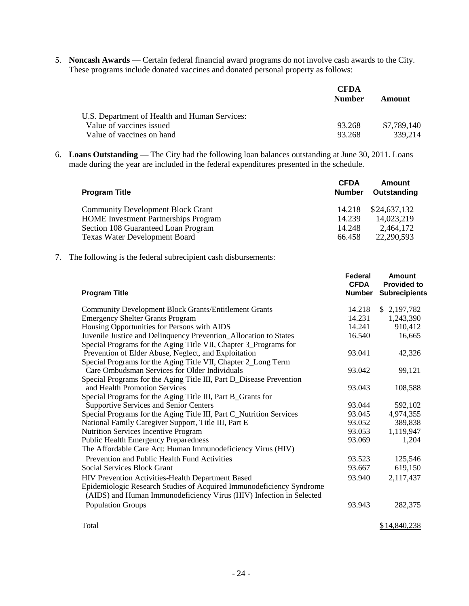5. **Noncash Awards** — Certain federal financial award programs do not involve cash awards to the City. These programs include donated vaccines and donated personal property as follows:

|                                               | <b>CFDA</b><br><b>Number</b> | Amount      |
|-----------------------------------------------|------------------------------|-------------|
| U.S. Department of Health and Human Services: |                              |             |
| Value of vaccines issued                      | 93.268                       | \$7.789.140 |
| Value of vaccines on hand                     | 93.268                       | 339.214     |

6. **Loans Outstanding** — The City had the following loan balances outstanding at June 30, 2011. Loans made during the year are included in the federal expenditures presented in the schedule.

| <b>Program Title</b>                        | <b>CFDA</b><br><b>Number</b> | Amount<br>Outstanding |
|---------------------------------------------|------------------------------|-----------------------|
| <b>Community Development Block Grant</b>    | 14.218                       | \$24,637,132          |
| <b>HOME</b> Investment Partnerships Program | 14.239                       | 14,023,219            |
| Section 108 Guaranteed Loan Program         | 14.248                       | 2.464.172             |
| <b>Texas Water Development Board</b>        | 66.458                       | 22,290,593            |

7. The following is the federal subrecipient cash disbursements:

| <b>Program Title</b>                                                                                                                        | Federal<br><b>CFDA</b><br><b>Number</b> | Amount<br><b>Provided to</b><br><b>Subrecipients</b> |
|---------------------------------------------------------------------------------------------------------------------------------------------|-----------------------------------------|------------------------------------------------------|
| <b>Community Development Block Grants/Entitlement Grants</b>                                                                                | 14.218                                  | \$2,197,782                                          |
| <b>Emergency Shelter Grants Program</b>                                                                                                     | 14.231                                  | 1,243,390                                            |
| Housing Opportunities for Persons with AIDS                                                                                                 | 14.241                                  | 910,412                                              |
| Juvenile Justice and Delinquency Prevention_Allocation to States                                                                            | 16.540                                  | 16,665                                               |
| Special Programs for the Aging Title VII, Chapter 3_Programs for                                                                            |                                         |                                                      |
| Prevention of Elder Abuse, Neglect, and Exploitation                                                                                        | 93.041                                  | 42,326                                               |
| Special Programs for the Aging Title VII, Chapter 2_Long Term                                                                               |                                         |                                                      |
| Care Ombudsman Services for Older Individuals                                                                                               | 93.042                                  | 99,121                                               |
| Special Programs for the Aging Title III, Part D_Disease Prevention                                                                         |                                         |                                                      |
| and Health Promotion Services                                                                                                               | 93.043                                  | 108,588                                              |
| Special Programs for the Aging Title III, Part B_Grants for                                                                                 |                                         |                                                      |
| <b>Supportive Services and Senior Centers</b>                                                                                               | 93.044                                  | 592,102                                              |
| Special Programs for the Aging Title III, Part C_Nutrition Services                                                                         | 93.045                                  | 4,974,355                                            |
| National Family Caregiver Support, Title III, Part E                                                                                        | 93.052                                  | 389,838                                              |
| <b>Nutrition Services Incentive Program</b>                                                                                                 | 93.053                                  | 1,119,947                                            |
| <b>Public Health Emergency Preparedness</b>                                                                                                 | 93.069                                  | 1,204                                                |
| The Affordable Care Act: Human Immunodeficiency Virus (HIV)                                                                                 |                                         |                                                      |
| Prevention and Public Health Fund Activities                                                                                                | 93.523                                  | 125,546                                              |
| Social Services Block Grant                                                                                                                 | 93.667                                  | 619,150                                              |
| HIV Prevention Activities-Health Department Based                                                                                           | 93.940                                  | 2,117,437                                            |
| Epidemiologic Research Studies of Acquired Immunodeficiency Syndrome<br>(AIDS) and Human Immunodeficiency Virus (HIV) Infection in Selected |                                         |                                                      |
| <b>Population Groups</b>                                                                                                                    | 93.943                                  | 282,375                                              |
|                                                                                                                                             |                                         | \$14,840,238                                         |
| Total                                                                                                                                       |                                         |                                                      |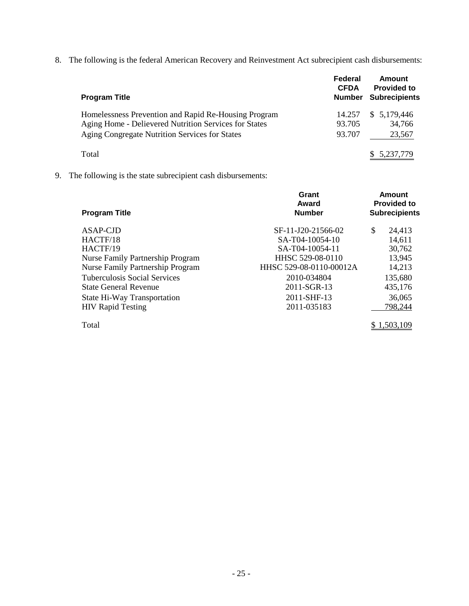8. The following is the federal American Recovery and Reinvestment Act subrecipient cash disbursements:

| <b>Program Title</b>                                                                                          | Federal<br><b>CFDA</b><br><b>Number</b> | Amount<br><b>Provided to</b><br><b>Subrecipients</b> |
|---------------------------------------------------------------------------------------------------------------|-----------------------------------------|------------------------------------------------------|
| Homelessness Prevention and Rapid Re-Housing Program<br>Aging Home - Delievered Nutrition Services for States | 14.257<br>93.705                        | 5,179,446<br><sup>S</sup><br>34,766                  |
| Aging Congregate Nutrition Services for States                                                                | 93.707                                  | 23,567                                               |
| Total                                                                                                         |                                         | 5,237,779                                            |

9. The following is the state subrecipient cash disbursements:

| <b>Program Title</b>                    | Grant<br>Award<br><b>Number</b> | Amount<br><b>Provided to</b><br><b>Subrecipients</b> |  |
|-----------------------------------------|---------------------------------|------------------------------------------------------|--|
| ASAP-CJD                                | SF-11-J20-21566-02              | \$<br>24,413                                         |  |
| HACTF/18                                | SA-T04-10054-10                 | 14,611                                               |  |
| HACTF/19                                | SA-T04-10054-11                 | 30,762                                               |  |
| Nurse Family Partnership Program        | HHSC 529-08-0110                | 13,945                                               |  |
| <b>Nurse Family Partnership Program</b> | HHSC 529-08-0110-00012A         | 14,213                                               |  |
| Tuberculosis Social Services            | 2010-034804                     | 135,680                                              |  |
| <b>State General Revenue</b>            | 2011-SGR-13                     | 435,176                                              |  |
| State Hi-Way Transportation             | 2011-SHF-13                     | 36,065                                               |  |
| <b>HIV Rapid Testing</b>                | 2011-035183                     | 798,244                                              |  |
| Total                                   |                                 | \$1.503.109                                          |  |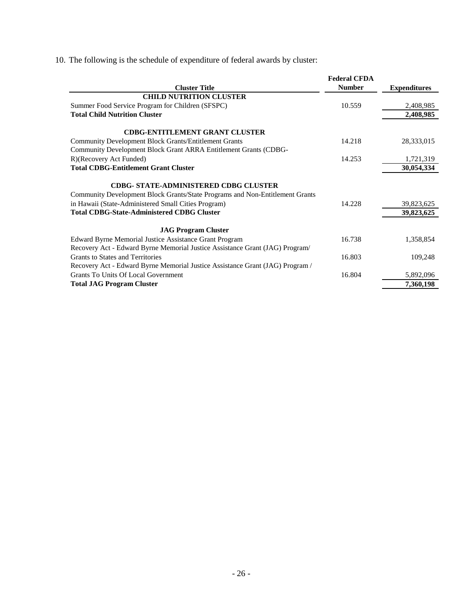10. The following is the schedule of expenditure of federal awards by cluster:

|                                                                                                                              | <b>Federal CFDA</b> |                     |
|------------------------------------------------------------------------------------------------------------------------------|---------------------|---------------------|
| <b>Cluster Title</b>                                                                                                         | <b>Number</b>       | <b>Expenditures</b> |
| <b>CHILD NUTRITION CLUSTER</b>                                                                                               |                     |                     |
| Summer Food Service Program for Children (SFSPC)                                                                             | 10.559              | 2,408,985           |
| <b>Total Child Nutrition Cluster</b>                                                                                         |                     | 2,408,985           |
| <b>CDBG-ENTITLEMENT GRANT CLUSTER</b>                                                                                        |                     |                     |
| <b>Community Development Block Grants/Entitlement Grants</b>                                                                 | 14.218              | 28,333,015          |
| Community Development Block Grant ARRA Entitlement Grants (CDBG-                                                             |                     |                     |
| R)(Recovery Act Funded)                                                                                                      | 14.253              | 1,721,319           |
| <b>Total CDBG-Entitlement Grant Cluster</b>                                                                                  |                     | 30,054,334          |
| <b>CDBG- STATE-ADMINISTERED CDBG CLUSTER</b><br>Community Development Block Grants/State Programs and Non-Entitlement Grants |                     |                     |
| in Hawaii (State-Administered Small Cities Program)                                                                          | 14.228              | 39,823,625          |
| <b>Total CDBG-State-Administered CDBG Cluster</b>                                                                            |                     | 39,823,625          |
| <b>JAG Program Cluster</b>                                                                                                   |                     |                     |
| Edward Byrne Memorial Justice Assistance Grant Program                                                                       | 16.738              | 1,358,854           |
| Recovery Act - Edward Byrne Memorial Justice Assistance Grant (JAG) Program/                                                 |                     |                     |
| <b>Grants to States and Territories</b>                                                                                      | 16.803              | 109,248             |
| Recovery Act - Edward Byrne Memorial Justice Assistance Grant (JAG) Program /                                                |                     |                     |
| <b>Grants To Units Of Local Government</b>                                                                                   | 16.804              | 5,892,096           |
| <b>Total JAG Program Cluster</b>                                                                                             |                     | 7,360,198           |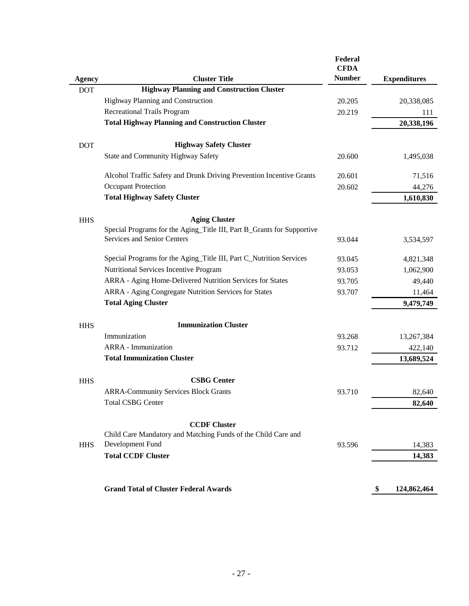|               |                                                                                   | Federal<br><b>CFDA</b> |                     |
|---------------|-----------------------------------------------------------------------------------|------------------------|---------------------|
| <b>Agency</b> | <b>Cluster Title</b>                                                              | <b>Number</b>          | <b>Expenditures</b> |
| <b>DOT</b>    | <b>Highway Planning and Construction Cluster</b>                                  |                        |                     |
|               | Highway Planning and Construction                                                 | 20.205                 | 20,338,085          |
|               | <b>Recreational Trails Program</b>                                                | 20.219                 | 111                 |
|               | <b>Total Highway Planning and Construction Cluster</b>                            |                        | 20,338,196          |
| <b>DOT</b>    | <b>Highway Safety Cluster</b>                                                     |                        |                     |
|               | State and Community Highway Safety                                                | 20.600                 | 1,495,038           |
|               | Alcohol Traffic Safety and Drunk Driving Prevention Incentive Grants              | 20.601                 | 71,516              |
|               | <b>Occupant Protection</b>                                                        | 20.602                 | 44,276              |
|               | <b>Total Highway Safety Cluster</b>                                               |                        | 1,610,830           |
| <b>HHS</b>    | <b>Aging Cluster</b>                                                              |                        |                     |
|               | Special Programs for the Aging_Title III, Part B_Grants for Supportive            |                        |                     |
|               | Services and Senior Centers                                                       | 93.044                 | 3,534,597           |
|               | Special Programs for the Aging_Title III, Part C_Nutrition Services               | 93.045                 | 4,821,348           |
|               | Nutritional Services Incentive Program                                            | 93.053                 | 1,062,900           |
|               | ARRA - Aging Home-Delivered Nutrition Services for States                         | 93.705                 | 49,440              |
|               | ARRA - Aging Congregate Nutrition Services for States                             | 93.707                 | 11,464              |
|               | <b>Total Aging Cluster</b>                                                        |                        | 9,479,749           |
| <b>HHS</b>    | <b>Immunization Cluster</b>                                                       |                        |                     |
|               | Immunization                                                                      | 93.268                 | 13,267,384          |
|               | <b>ARRA</b> - Immunization                                                        | 93.712                 | 422,140             |
|               | <b>Total Immunization Cluster</b>                                                 |                        | 13,689,524          |
| <b>HHS</b>    | <b>CSBG Center</b>                                                                |                        |                     |
|               | <b>ARRA-Community Services Block Grants</b>                                       | 93.710                 | 82,640              |
|               | <b>Total CSBG Center</b>                                                          |                        | 82,640              |
|               |                                                                                   |                        |                     |
|               | <b>CCDF Cluster</b>                                                               |                        |                     |
| <b>HHS</b>    | Child Care Mandatory and Matching Funds of the Child Care and<br>Development Fund | 93.596                 | 14,383              |
|               | <b>Total CCDF Cluster</b>                                                         |                        | 14,383              |
|               |                                                                                   |                        |                     |
|               |                                                                                   |                        |                     |
|               | <b>Grand Total of Cluster Federal Awards</b>                                      |                        | \$<br>124,862,464   |

l,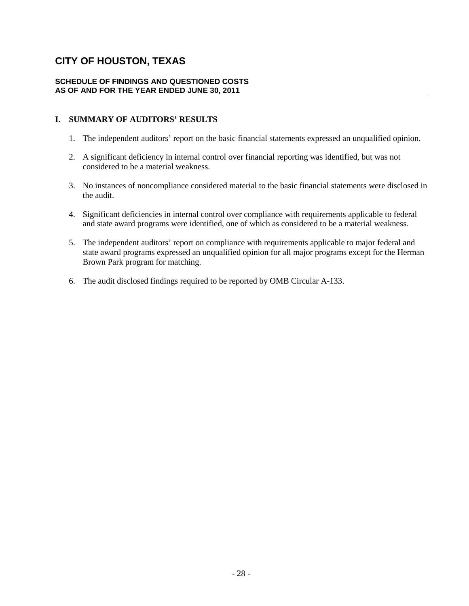#### **SCHEDULE OF FINDINGS AND QUESTIONED COSTS AS OF AND FOR THE YEAR ENDED JUNE 30, 2011**

#### **I. SUMMARY OF AUDITORS' RESULTS**

- 1. The independent auditors' report on the basic financial statements expressed an unqualified opinion.
- 2. A significant deficiency in internal control over financial reporting was identified, but was not considered to be a material weakness.
- 3. No instances of noncompliance considered material to the basic financial statements were disclosed in the audit.
- 4. Significant deficiencies in internal control over compliance with requirements applicable to federal and state award programs were identified, one of which as considered to be a material weakness.
- 5. The independent auditors' report on compliance with requirements applicable to major federal and state award programs expressed an unqualified opinion for all major programs except for the Herman Brown Park program for matching.
- 6. The audit disclosed findings required to be reported by OMB Circular A-133.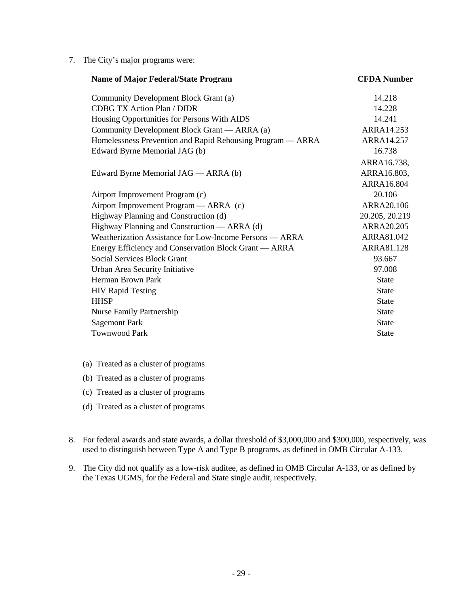7. The City's major programs were:

| <b>Name of Major Federal/State Program</b>                 | <b>CFDA Number</b> |
|------------------------------------------------------------|--------------------|
| Community Development Block Grant (a)                      | 14.218             |
| <b>CDBG TX Action Plan / DIDR</b>                          | 14.228             |
| Housing Opportunities for Persons With AIDS                | 14.241             |
| Community Development Block Grant — ARRA (a)               | ARRA14.253         |
| Homelessness Prevention and Rapid Rehousing Program — ARRA | ARRA14.257         |
| Edward Byrne Memorial JAG (b)                              | 16.738             |
|                                                            | ARRA16.738,        |
| Edward Byrne Memorial JAG — ARRA (b)                       | ARRA16.803,        |
|                                                            | ARRA16.804         |
| Airport Improvement Program (c)                            | 20.106             |
| Airport Improvement Program — ARRA (c)                     | ARRA20.106         |
| Highway Planning and Construction (d)                      | 20.205, 20.219     |
| Highway Planning and Construction — ARRA (d)               | ARRA20.205         |
| Weatherization Assistance for Low-Income Persons — ARRA    | ARRA81.042         |
| Energy Efficiency and Conservation Block Grant — ARRA      | ARRA81.128         |
| <b>Social Services Block Grant</b>                         | 93.667             |
| Urban Area Security Initiative                             | 97.008             |
| Herman Brown Park                                          | <b>State</b>       |
| <b>HIV Rapid Testing</b>                                   | <b>State</b>       |
| <b>HHSP</b>                                                | <b>State</b>       |
| Nurse Family Partnership                                   | <b>State</b>       |
| <b>Sagemont Park</b>                                       | <b>State</b>       |
| <b>Townwood Park</b>                                       | <b>State</b>       |

- (a) Treated as a cluster of programs
- (b) Treated as a cluster of programs
- (c) Treated as a cluster of programs
- (d) Treated as a cluster of programs
- 8. For federal awards and state awards, a dollar threshold of \$3,000,000 and \$300,000, respectively, was used to distinguish between Type A and Type B programs, as defined in OMB Circular A-133.
- 9. The City did not qualify as a low-risk auditee, as defined in OMB Circular A-133, or as defined by the Texas UGMS, for the Federal and State single audit, respectively.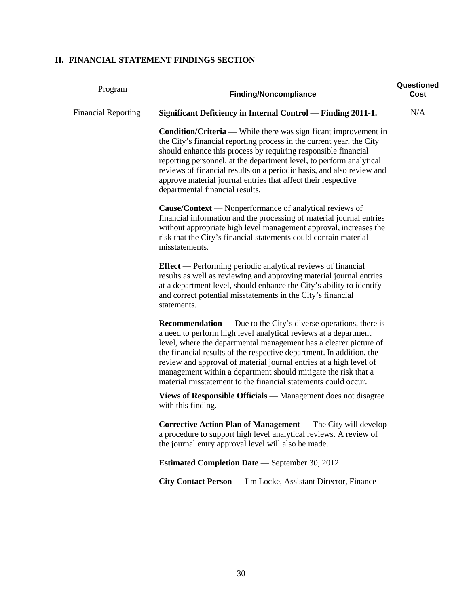### **II. FINANCIAL STATEMENT FINDINGS SECTION**

| Program                    | <b>Finding/Noncompliance</b>                                                                                                                                                                                                                                                                                                                                                                                                                                                                     | Questioned<br>Cost |
|----------------------------|--------------------------------------------------------------------------------------------------------------------------------------------------------------------------------------------------------------------------------------------------------------------------------------------------------------------------------------------------------------------------------------------------------------------------------------------------------------------------------------------------|--------------------|
| <b>Financial Reporting</b> | <b>Significant Deficiency in Internal Control — Finding 2011-1.</b>                                                                                                                                                                                                                                                                                                                                                                                                                              | N/A                |
|                            | <b>Condition/Criteria</b> — While there was significant improvement in<br>the City's financial reporting process in the current year, the City<br>should enhance this process by requiring responsible financial<br>reporting personnel, at the department level, to perform analytical<br>reviews of financial results on a periodic basis, and also review and<br>approve material journal entries that affect their respective<br>departmental financial results.                             |                    |
|                            | <b>Cause/Context</b> — Nonperformance of analytical reviews of<br>financial information and the processing of material journal entries<br>without appropriate high level management approval, increases the<br>risk that the City's financial statements could contain material<br>misstatements.                                                                                                                                                                                                |                    |
|                            | <b>Effect</b> — Performing periodic analytical reviews of financial<br>results as well as reviewing and approving material journal entries<br>at a department level, should enhance the City's ability to identify<br>and correct potential misstatements in the City's financial<br>statements.                                                                                                                                                                                                 |                    |
|                            | <b>Recommendation</b> — Due to the City's diverse operations, there is<br>a need to perform high level analytical reviews at a department<br>level, where the departmental management has a clearer picture of<br>the financial results of the respective department. In addition, the<br>review and approval of material journal entries at a high level of<br>management within a department should mitigate the risk that a<br>material misstatement to the financial statements could occur. |                    |
|                            | Views of Responsible Officials — Management does not disagree<br>with this finding.                                                                                                                                                                                                                                                                                                                                                                                                              |                    |
|                            | Corrective Action Plan of Management — The City will develop<br>a procedure to support high level analytical reviews. A review of<br>the journal entry approval level will also be made.                                                                                                                                                                                                                                                                                                         |                    |
|                            | <b>Estimated Completion Date</b> - September 30, 2012                                                                                                                                                                                                                                                                                                                                                                                                                                            |                    |
|                            | City Contact Person — Jim Locke, Assistant Director, Finance                                                                                                                                                                                                                                                                                                                                                                                                                                     |                    |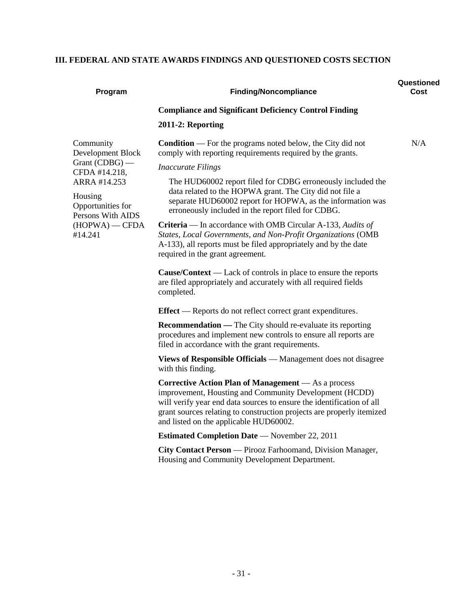### **III. FEDERAL AND STATE AWARDS FINDINGS AND QUESTIONED COSTS SECTION**

| Program                                                                                                                                                                 | <b>Finding/Noncompliance</b>                                                                                                                                                                                                                                                                                                                                                                                                                                                                                                                                                                                                                                                                                                                                                                                                                                                                                                                                                                                                                                                                                                                                                                                                                                                                                                                                                                                                                                                                                                                                                                                                                                                     | Questioned<br>Cost |
|-------------------------------------------------------------------------------------------------------------------------------------------------------------------------|----------------------------------------------------------------------------------------------------------------------------------------------------------------------------------------------------------------------------------------------------------------------------------------------------------------------------------------------------------------------------------------------------------------------------------------------------------------------------------------------------------------------------------------------------------------------------------------------------------------------------------------------------------------------------------------------------------------------------------------------------------------------------------------------------------------------------------------------------------------------------------------------------------------------------------------------------------------------------------------------------------------------------------------------------------------------------------------------------------------------------------------------------------------------------------------------------------------------------------------------------------------------------------------------------------------------------------------------------------------------------------------------------------------------------------------------------------------------------------------------------------------------------------------------------------------------------------------------------------------------------------------------------------------------------------|--------------------|
|                                                                                                                                                                         | <b>Compliance and Significant Deficiency Control Finding</b><br>2011-2: Reporting                                                                                                                                                                                                                                                                                                                                                                                                                                                                                                                                                                                                                                                                                                                                                                                                                                                                                                                                                                                                                                                                                                                                                                                                                                                                                                                                                                                                                                                                                                                                                                                                |                    |
| Community<br>Development Block<br>Grant $(CDBG)$ —<br>CFDA #14.218,<br>ARRA #14.253<br>Housing<br>Opportunities for<br>Persons With AIDS<br>$(HOPWA)$ - CFDA<br>#14.241 | <b>Condition</b> — For the programs noted below, the City did not<br>comply with reporting requirements required by the grants.<br><b>Inaccurate Filings</b><br>The HUD60002 report filed for CDBG erroneously included the<br>data related to the HOPWA grant. The City did not file a<br>separate HUD60002 report for HOPWA, as the information was<br>erroneously included in the report filed for CDBG.<br><b>Criteria</b> — In accordance with OMB Circular A-133, Audits of<br>States, Local Governments, and Non-Profit Organizations (OMB<br>A-133), all reports must be filed appropriately and by the date<br>required in the grant agreement.<br>$\text{Cause}/\text{Context}$ — Lack of controls in place to ensure the reports<br>are filed appropriately and accurately with all required fields<br>completed.<br><b>Effect</b> — Reports do not reflect correct grant expenditures.<br><b>Recommendation</b> - The City should re-evaluate its reporting<br>procedures and implement new controls to ensure all reports are<br>filed in accordance with the grant requirements.<br>Views of Responsible Officials - Management does not disagree<br>with this finding.<br><b>Corrective Action Plan of Management</b> - As a process<br>improvement, Housting and Community Development (HCDD)<br>will verify year end data sources to ensure the identification of all<br>grant sources relating to construction projects are properly itemized<br>and listed on the applicable HUD60002.<br><b>Estimated Completion Date</b> — November 22, 2011<br>City Contact Person — Pirooz Farhoomand, Division Manager,<br>Housing and Community Development Department. | N/A                |
|                                                                                                                                                                         |                                                                                                                                                                                                                                                                                                                                                                                                                                                                                                                                                                                                                                                                                                                                                                                                                                                                                                                                                                                                                                                                                                                                                                                                                                                                                                                                                                                                                                                                                                                                                                                                                                                                                  |                    |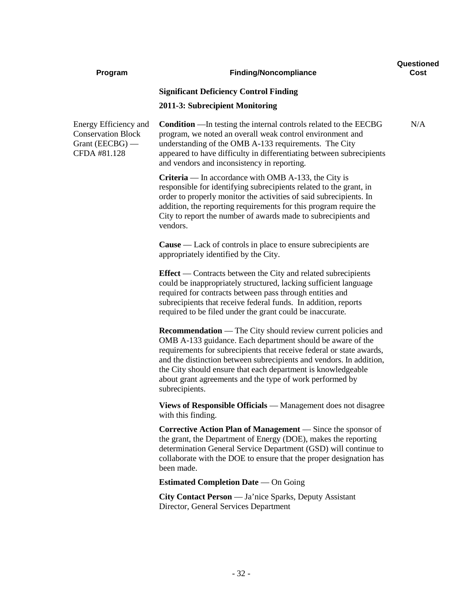| Program                                                                                 | <b>Finding/Noncompliance</b>                                                                                                                                                                                                                                                                                                                                                                                            | Questioned<br>Cost |
|-----------------------------------------------------------------------------------------|-------------------------------------------------------------------------------------------------------------------------------------------------------------------------------------------------------------------------------------------------------------------------------------------------------------------------------------------------------------------------------------------------------------------------|--------------------|
|                                                                                         | <b>Significant Deficiency Control Finding</b>                                                                                                                                                                                                                                                                                                                                                                           |                    |
|                                                                                         | 2011-3: Subrecipient Monitoring                                                                                                                                                                                                                                                                                                                                                                                         |                    |
| Energy Efficiency and<br><b>Conservation Block</b><br>Grant $(EECBG)$ —<br>CFDA #81.128 | <b>Condition</b> — In testing the internal controls related to the EECBG<br>program, we noted an overall weak control environment and<br>understanding of the OMB A-133 requirements. The City<br>appeared to have difficulty in differentiating between subrecipients<br>and vendors and inconsistency in reporting.                                                                                                   | N/A                |
|                                                                                         | <b>Criteria</b> — In accordance with OMB A-133, the City is<br>responsible for identifying subrecipients related to the grant, in<br>order to properly monitor the activities of said subrecipients. In<br>addition, the reporting requirements for this program require the<br>City to report the number of awards made to subrecipients and<br>vendors.                                                               |                    |
|                                                                                         | <b>Cause</b> — Lack of controls in place to ensure subrecipients are<br>appropriately identified by the City.                                                                                                                                                                                                                                                                                                           |                    |
|                                                                                         | <b>Effect</b> — Contracts between the City and related subrecipients<br>could be inappropriately structured, lacking sufficient language<br>required for contracts between pass through entities and<br>subrecipients that receive federal funds. In addition, reports<br>required to be filed under the grant could be inaccurate.                                                                                     |                    |
|                                                                                         | Recommendation - The City should review current policies and<br>OMB A-133 guidance. Each department should be aware of the<br>requirements for subrecipients that receive federal or state awards,<br>and the distinction between subrecipients and vendors. In addition,<br>the City should ensure that each department is knowledgeable<br>about grant agreements and the type of work performed by<br>subrecipients. |                    |
|                                                                                         | Views of Responsible Officials — Management does not disagree<br>with this finding.                                                                                                                                                                                                                                                                                                                                     |                    |
|                                                                                         | Corrective Action Plan of Management - Since the sponsor of<br>the grant, the Department of Energy (DOE), makes the reporting<br>determination General Service Department (GSD) will continue to<br>collaborate with the DOE to ensure that the proper designation has<br>been made.                                                                                                                                    |                    |
|                                                                                         | <b>Estimated Completion Date</b> — On Going                                                                                                                                                                                                                                                                                                                                                                             |                    |
|                                                                                         | <b>City Contact Person</b> — Ja'nice Sparks, Deputy Assistant<br>Director, General Services Department                                                                                                                                                                                                                                                                                                                  |                    |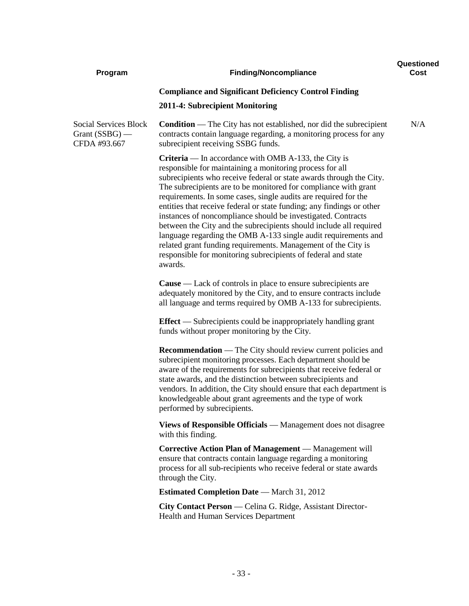| Program                                                          | <b>Finding/Noncompliance</b>                                                                                                                                                                                                                                                                                                                                                                                                                                                                                                                                                                                                                                                                                                                                       | Questioned<br>Cost |
|------------------------------------------------------------------|--------------------------------------------------------------------------------------------------------------------------------------------------------------------------------------------------------------------------------------------------------------------------------------------------------------------------------------------------------------------------------------------------------------------------------------------------------------------------------------------------------------------------------------------------------------------------------------------------------------------------------------------------------------------------------------------------------------------------------------------------------------------|--------------------|
|                                                                  | <b>Compliance and Significant Deficiency Control Finding</b>                                                                                                                                                                                                                                                                                                                                                                                                                                                                                                                                                                                                                                                                                                       |                    |
|                                                                  | 2011-4: Subrecipient Monitoring                                                                                                                                                                                                                                                                                                                                                                                                                                                                                                                                                                                                                                                                                                                                    |                    |
| <b>Social Services Block</b><br>Grant $(SSBG)$ —<br>CFDA #93.667 | <b>Condition</b> — The City has not established, nor did the subrecipient<br>contracts contain language regarding, a monitoring process for any<br>subrecipient receiving SSBG funds.                                                                                                                                                                                                                                                                                                                                                                                                                                                                                                                                                                              | N/A                |
|                                                                  | <b>Criteria</b> — In accordance with OMB A-133, the City is<br>responsible for maintaining a monitoring process for all<br>subrecipients who receive federal or state awards through the City.<br>The subrecipients are to be monitored for compliance with grant<br>requirements. In some cases, single audits are required for the<br>entities that receive federal or state funding; any findings or other<br>instances of noncompliance should be investigated. Contracts<br>between the City and the subrecipients should include all required<br>language regarding the OMB A-133 single audit requirements and<br>related grant funding requirements. Management of the City is<br>responsible for monitoring subrecipients of federal and state<br>awards. |                    |
|                                                                  | <b>Cause</b> — Lack of controls in place to ensure subrecipients are<br>adequately monitored by the City, and to ensure contracts include<br>all language and terms required by OMB A-133 for subrecipients.                                                                                                                                                                                                                                                                                                                                                                                                                                                                                                                                                       |                    |
|                                                                  | <b>Effect</b> — Subrecipients could be inappropriately handling grant<br>funds without proper monitoring by the City.                                                                                                                                                                                                                                                                                                                                                                                                                                                                                                                                                                                                                                              |                    |
|                                                                  | <b>Recommendation</b> — The City should review current policies and<br>subrecipient monitoring processes. Each department should be<br>aware of the requirements for subrecipients that receive federal or<br>state awards, and the distinction between subrecipients and<br>vendors. In addition, the City should ensure that each department is<br>knowledgeable about grant agreements and the type of work<br>performed by subrecipients.                                                                                                                                                                                                                                                                                                                      |                    |
|                                                                  | Views of Responsible Officials — Management does not disagree<br>with this finding.                                                                                                                                                                                                                                                                                                                                                                                                                                                                                                                                                                                                                                                                                |                    |
|                                                                  | Corrective Action Plan of Management — Management will<br>ensure that contracts contain language regarding a monitoring<br>process for all sub-recipients who receive federal or state awards<br>through the City.                                                                                                                                                                                                                                                                                                                                                                                                                                                                                                                                                 |                    |
|                                                                  | <b>Estimated Completion Date</b> — March 31, 2012                                                                                                                                                                                                                                                                                                                                                                                                                                                                                                                                                                                                                                                                                                                  |                    |
|                                                                  | City Contact Person — Celina G. Ridge, Assistant Director-<br>Health and Human Services Department                                                                                                                                                                                                                                                                                                                                                                                                                                                                                                                                                                                                                                                                 |                    |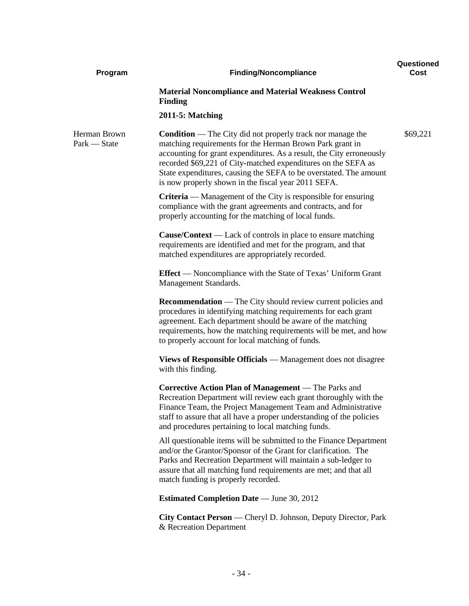| Program                      | <b>Finding/Noncompliance</b>                                                                                                                                                                                                                                                                                                                                                                       | Questioned<br>Cost |
|------------------------------|----------------------------------------------------------------------------------------------------------------------------------------------------------------------------------------------------------------------------------------------------------------------------------------------------------------------------------------------------------------------------------------------------|--------------------|
|                              | <b>Material Noncompliance and Material Weakness Control</b><br><b>Finding</b>                                                                                                                                                                                                                                                                                                                      |                    |
|                              | <b>2011-5: Matching</b>                                                                                                                                                                                                                                                                                                                                                                            |                    |
| Herman Brown<br>Park - State | <b>Condition</b> — The City did not properly track nor manage the<br>matching requirements for the Herman Brown Park grant in<br>accounting for grant expenditures. As a result, the City erroneously<br>recorded \$69,221 of City-matched expenditures on the SEFA as<br>State expenditures, causing the SEFA to be overstated. The amount<br>is now properly shown in the fiscal year 2011 SEFA. | \$69,221           |
|                              | Criteria — Management of the City is responsible for ensuring<br>compliance with the grant agreements and contracts, and for<br>properly accounting for the matching of local funds.                                                                                                                                                                                                               |                    |
|                              | <b>Cause/Context</b> — Lack of controls in place to ensure matching<br>requirements are identified and met for the program, and that<br>matched expenditures are appropriately recorded.                                                                                                                                                                                                           |                    |
|                              | <b>Effect</b> — Noncompliance with the State of Texas' Uniform Grant<br>Management Standards.                                                                                                                                                                                                                                                                                                      |                    |
|                              | <b>Recommendation</b> — The City should review current policies and<br>procedures in identifying matching requirements for each grant<br>agreement. Each department should be aware of the matching<br>requirements, how the matching requirements will be met, and how<br>to properly account for local matching of funds.                                                                        |                    |
|                              | Views of Responsible Officials - Management does not disagree<br>with this finding.                                                                                                                                                                                                                                                                                                                |                    |
|                              | <b>Corrective Action Plan of Management</b> — The Parks and<br>Recreation Department will review each grant thoroughly with the<br>Finance Team, the Project Management Team and Administrative<br>staff to assure that all have a proper understanding of the policies<br>and procedures pertaining to local matching funds.                                                                      |                    |
|                              | All questionable items will be submitted to the Finance Department<br>and/or the Grantor/Sponsor of the Grant for clarification. The<br>Parks and Recreation Department will maintain a sub-ledger to<br>assure that all matching fund requirements are met; and that all<br>match funding is properly recorded.                                                                                   |                    |
|                              | <b>Estimated Completion Date</b> — June 30, 2012                                                                                                                                                                                                                                                                                                                                                   |                    |
|                              | City Contact Person — Cheryl D. Johnson, Deputy Director, Park<br>& Recreation Department                                                                                                                                                                                                                                                                                                          |                    |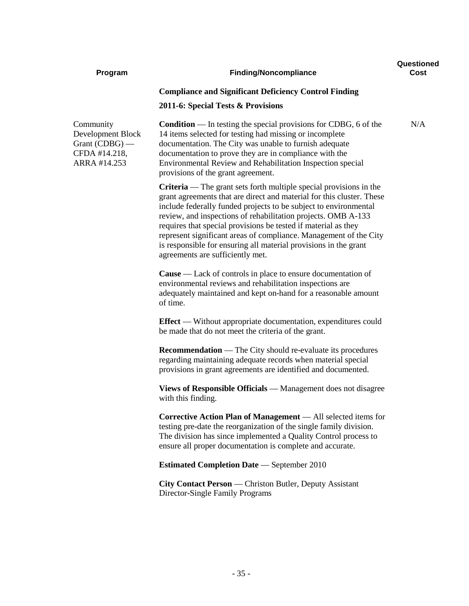| Program                                                                             | <b>Finding/Noncompliance</b>                                                                                                                                                                                                                                                                                                                                                                                                                                                                                                           | Questioned<br>Cost |
|-------------------------------------------------------------------------------------|----------------------------------------------------------------------------------------------------------------------------------------------------------------------------------------------------------------------------------------------------------------------------------------------------------------------------------------------------------------------------------------------------------------------------------------------------------------------------------------------------------------------------------------|--------------------|
|                                                                                     | <b>Compliance and Significant Deficiency Control Finding</b><br>2011-6: Special Tests & Provisions                                                                                                                                                                                                                                                                                                                                                                                                                                     |                    |
| Community<br>Development Block<br>Grant $(CDBG)$ —<br>CFDA #14.218,<br>ARRA #14.253 | <b>Condition</b> — In testing the special provisions for CDBG, 6 of the<br>14 items selected for testing had missing or incomplete<br>documentation. The City was unable to furnish adequate<br>documentation to prove they are in compliance with the<br>Environmental Review and Rehabilitation Inspection special<br>provisions of the grant agreement.                                                                                                                                                                             | N/A                |
|                                                                                     | <b>Criteria</b> — The grant sets forth multiple special provisions in the<br>grant agreements that are direct and material for this cluster. These<br>include federally funded projects to be subject to environmental<br>review, and inspections of rehabilitation projects. OMB A-133<br>requires that special provisions be tested if material as they<br>represent significant areas of compliance. Management of the City<br>is responsible for ensuring all material provisions in the grant<br>agreements are sufficiently met. |                    |
|                                                                                     | <b>Cause</b> — Lack of controls in place to ensure documentation of<br>environmental reviews and rehabilitation inspections are<br>adequately maintained and kept on-hand for a reasonable amount<br>of time.                                                                                                                                                                                                                                                                                                                          |                    |
|                                                                                     | <b>Effect</b> — Without appropriate documentation, expenditures could<br>be made that do not meet the criteria of the grant.                                                                                                                                                                                                                                                                                                                                                                                                           |                    |
|                                                                                     | <b>Recommendation</b> — The City should re-evaluate its procedures<br>regarding maintaining adequate records when material special<br>provisions in grant agreements are identified and documented.                                                                                                                                                                                                                                                                                                                                    |                    |
|                                                                                     | Views of Responsible Officials - Management does not disagree<br>with this finding.                                                                                                                                                                                                                                                                                                                                                                                                                                                    |                    |
|                                                                                     | <b>Corrective Action Plan of Management</b> — All selected items for<br>testing pre-date the reorganization of the single family division.<br>The division has since implemented a Quality Control process to<br>ensure all proper documentation is complete and accurate.                                                                                                                                                                                                                                                             |                    |
|                                                                                     | <b>Estimated Completion Date</b> - September 2010                                                                                                                                                                                                                                                                                                                                                                                                                                                                                      |                    |
|                                                                                     | City Contact Person - Christon Butler, Deputy Assistant<br>Director-Single Family Programs                                                                                                                                                                                                                                                                                                                                                                                                                                             |                    |
|                                                                                     |                                                                                                                                                                                                                                                                                                                                                                                                                                                                                                                                        |                    |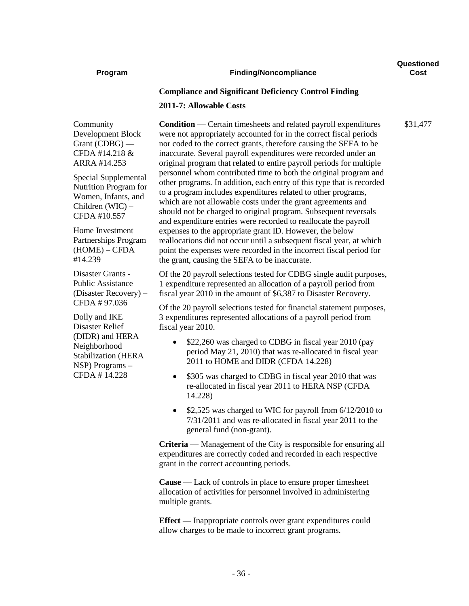#### **Program Finding/Noncompliance**

**Questioned Cost**

\$31,477

#### **Compliance and Significant Deficiency Control Finding**

#### **2011-7: Allowable Costs**

Community Development Block Grant (CDBG) — CFDA #14.218 & ARRA #14.253

Special Supplemental Nutrition Program for Women, Infants, and Children (WIC) – CFDA #10.557

Home Investment Partnerships Program (HOME) – CFDA #14.239

Disaster Grants - Public Assistance (Disaster Recovery) – CFDA # 97.036

Dolly and IKE Disaster Relief (DIDR) and HERA Neighborhood Stabilization (HERA NSP) Programs – CFDA # 14.228

**Condition** — Certain timesheets and related payroll expenditures were not appropriately accounted for in the correct fiscal periods nor coded to the correct grants, therefore causing the SEFA to be inaccurate. Several payroll expenditures were recorded under an original program that related to entire payroll periods for multiple personnel whom contributed time to both the original program and other programs. In addition, each entry of this type that is recorded to a program includes expenditures related to other programs, which are not allowable costs under the grant agreements and should not be charged to original program. Subsequent reversals and expenditure entries were recorded to reallocate the payroll expenses to the appropriate grant ID. However, the below reallocations did not occur until a subsequent fiscal year, at which point the expenses were recorded in the incorrect fiscal period for the grant, causing the SEFA to be inaccurate.

Of the 20 payroll selections tested for CDBG single audit purposes, 1 expenditure represented an allocation of a payroll period from fiscal year 2010 in the amount of \$6,387 to Disaster Recovery.

Of the 20 payroll selections tested for financial statement purposes, 3 expenditures represented allocations of a payroll period from fiscal year 2010.

- \$22,260 was charged to CDBG in fiscal year 2010 (pay period May 21, 2010) that was re-allocated in fiscal year 2011 to HOME and DIDR (CFDA 14.228)
- \$305 was charged to CDBG in fiscal year 2010 that was re-allocated in fiscal year 2011 to HERA NSP (CFDA 14.228)
- \$2,525 was charged to WIC for payroll from 6/12/2010 to 7/31/2011 and was re-allocated in fiscal year 2011 to the general fund (non-grant).

**Criteria** — Management of the City is responsible for ensuring all expenditures are correctly coded and recorded in each respective grant in the correct accounting periods.

**Cause** — Lack of controls in place to ensure proper timesheet allocation of activities for personnel involved in administering multiple grants.

**Effect** — Inappropriate controls over grant expenditures could allow charges to be made to incorrect grant programs.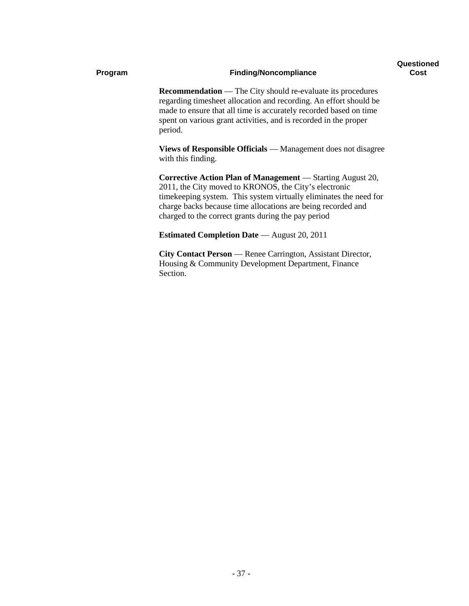#### **Program Finding/Noncompliance**

**Recommendation** — The City should re-evaluate its procedures regarding timesheet allocation and recording. An effort should be made to ensure that all time is accurately recorded based on time spent on various grant activities, and is recorded in the proper period.

**Views of Responsible Officials** — Management does not disagree with this finding.

**Corrective Action Plan of Management** — Starting August 20, 2011, the City moved to KRONOS, the City's electronic timekeeping system. This system virtually eliminates the need for charge backs because time allocations are being recorded and charged to the correct grants during the pay period

**Estimated Completion Date** — August 20, 2011

**City Contact Person** — Renee Carrington, Assistant Director, Housing & Community Development Department, Finance Section.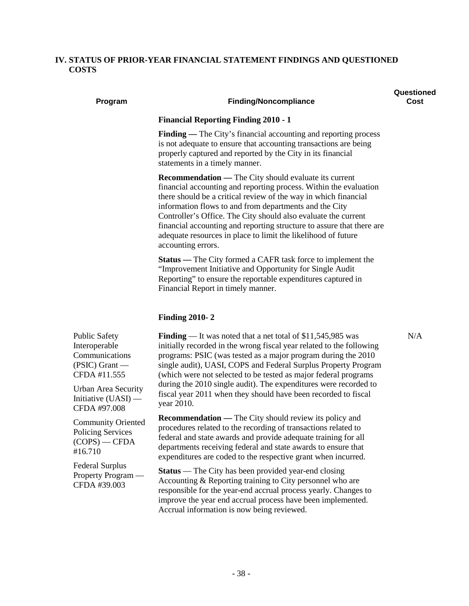#### **IV. STATUS OF PRIOR-YEAR FINANCIAL STATEMENT FINDINGS AND QUESTIONED COSTS**

#### **Program Finding/Noncompliance**

**Questioned Cost**

#### **Financial Reporting Finding 2010 - 1**

**Finding** — The City's financial accounting and reporting process is not adequate to ensure that accounting transactions are being properly captured and reported by the City in its financial statements in a timely manner.

**Recommendation —** The City should evaluate its current financial accounting and reporting process. Within the evaluation there should be a critical review of the way in which financial information flows to and from departments and the City Controller's Office. The City should also evaluate the current financial accounting and reporting structure to assure that there are adequate resources in place to limit the likelihood of future accounting errors.

**Status —** The City formed a CAFR task force to implement the "Improvement Initiative and Opportunity for Single Audit Reporting" to ensure the reportable expenditures captured in Financial Report in timely manner.

#### **Finding 2010- 2**

Public Safety Interoperable Communications (PSIC) Grant — CFDA #11.555

Urban Area Security Initiative (UASI) — CFDA #97.008

Community Oriented Policing Services (COPS) — CFDA #16.710

Federal Surplus Property Program — CFDA #39.003

**Finding** — It was noted that a net total of \$11,545,985 was initially recorded in the wrong fiscal year related to the following programs: PSIC (was tested as a major program during the 2010 single audit), UASI, COPS and Federal Surplus Property Program (which were not selected to be tested as major federal programs during the 2010 single audit). The expenditures were recorded to fiscal year 2011 when they should have been recorded to fiscal year 2010.

**Recommendation —** The City should review its policy and procedures related to the recording of transactions related to federal and state awards and provide adequate training for all departments receiving federal and state awards to ensure that expenditures are coded to the respective grant when incurred.

**Status** — The City has been provided year-end closing Accounting & Reporting training to City personnel who are responsible for the year-end accrual process yearly. Changes to improve the year end accrual process have been implemented. Accrual information is now being reviewed.

N/A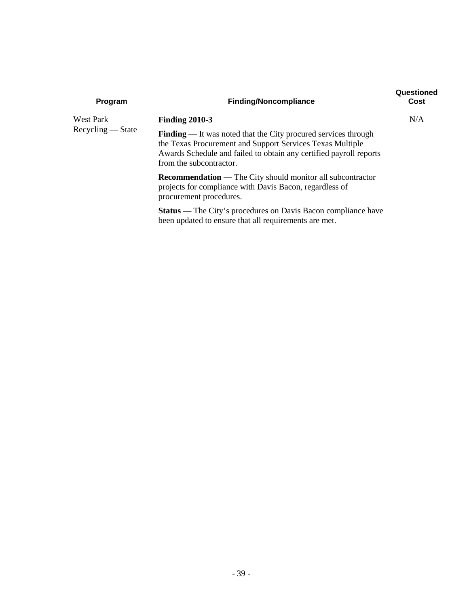| Program             | <b>Finding/Noncompliance</b>                                                                                                                                                                                                        | Questioned<br>Cost |
|---------------------|-------------------------------------------------------------------------------------------------------------------------------------------------------------------------------------------------------------------------------------|--------------------|
| West Park           | <b>Finding 2010-3</b>                                                                                                                                                                                                               | N/A                |
| $Recvcling - State$ | <b>Finding</b> — It was noted that the City procured services through<br>the Texas Procurement and Support Services Texas Multiple<br>Awards Schedule and failed to obtain any certified payroll reports<br>from the subcontractor. |                    |
|                     | <b>Recommendation</b> — The City should monitor all subcontractor<br>projects for compliance with Davis Bacon, regardless of<br>procurement procedures.                                                                             |                    |
|                     | <b>Status</b> — The City's procedures on Davis Bacon compliance have<br>been updated to ensure that all requirements are met.                                                                                                       |                    |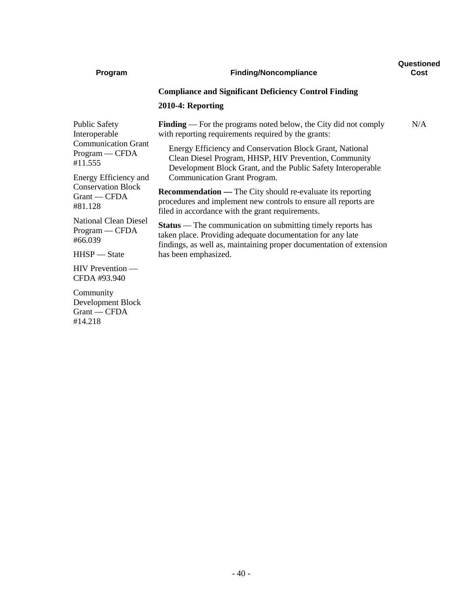| Program                                                   | <b>Finding/Noncompliance</b>                                                                                                                                                                            | Questioned<br>Cost |
|-----------------------------------------------------------|---------------------------------------------------------------------------------------------------------------------------------------------------------------------------------------------------------|--------------------|
|                                                           | <b>Compliance and Significant Deficiency Control Finding</b>                                                                                                                                            |                    |
|                                                           | 2010-4: Reporting                                                                                                                                                                                       |                    |
| <b>Public Safety</b><br>Interoperable                     | <b>Finding</b> — For the programs noted below, the City did not comply<br>with reporting requirements required by the grants:                                                                           | N/A                |
| <b>Communication Grant</b><br>$Program - CFDA$<br>#11.555 | Energy Efficiency and Conservation Block Grant, National<br>Clean Diesel Program, HHSP, HIV Prevention, Community<br>Development Block Grant, and the Public Safety Interoperable                       |                    |
| Energy Efficiency and                                     | Communication Grant Program.                                                                                                                                                                            |                    |
| <b>Conservation Block</b><br>$G$ rant — CFDA<br>#81.128   | <b>Recommendation</b> — The City should re-evaluate its reporting<br>procedures and implement new controls to ensure all reports are<br>filed in accordance with the grant requirements.                |                    |
| <b>National Clean Diesel</b><br>Program — CFDA<br>#66.039 | <b>Status</b> — The communication on submitting timely reports has<br>taken place. Providing adequate documentation for any late<br>findings, as well as, maintaining proper documentation of extension |                    |
| $HHSP - State$                                            | has been emphasized.                                                                                                                                                                                    |                    |
| $HIV$ Prevention —<br>CFDA #93.940                        |                                                                                                                                                                                                         |                    |
| Community<br>Development Block<br>Grant - CFDA<br>#14.218 |                                                                                                                                                                                                         |                    |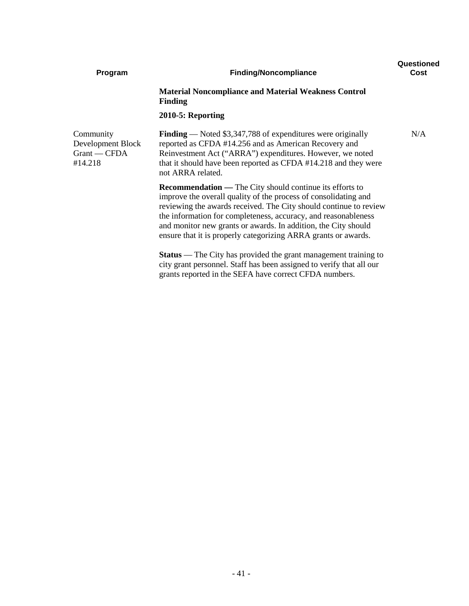| Program                                                     | <b>Finding/Noncompliance</b>                                                                                                                                                                                                                                                                                                                                                                                  | Questioned<br>Cost |
|-------------------------------------------------------------|---------------------------------------------------------------------------------------------------------------------------------------------------------------------------------------------------------------------------------------------------------------------------------------------------------------------------------------------------------------------------------------------------------------|--------------------|
|                                                             | <b>Material Noncompliance and Material Weakness Control</b><br><b>Finding</b>                                                                                                                                                                                                                                                                                                                                 |                    |
|                                                             | 2010-5: Reporting                                                                                                                                                                                                                                                                                                                                                                                             |                    |
| Community<br>Development Block<br>$Grant - CFDA$<br>#14.218 | <b>Finding</b> — Noted $$3,347,788$ of expenditures were originally<br>reported as CFDA #14.256 and as American Recovery and<br>Reinvestment Act ("ARRA") expenditures. However, we noted<br>that it should have been reported as CFDA #14.218 and they were<br>not ARRA related.                                                                                                                             | N/A                |
|                                                             | <b>Recommendation</b> — The City should continue its efforts to<br>improve the overall quality of the process of consolidating and<br>reviewing the awards received. The City should continue to review<br>the information for completeness, accuracy, and reasonableness<br>and monitor new grants or awards. In addition, the City should<br>ensure that it is properly categorizing ARRA grants or awards. |                    |
|                                                             | <b>Status</b> — The City has provided the grant management training to<br>city grant personnel. Staff has been assigned to verify that all our<br>grants reported in the SEFA have correct CFDA numbers.                                                                                                                                                                                                      |                    |